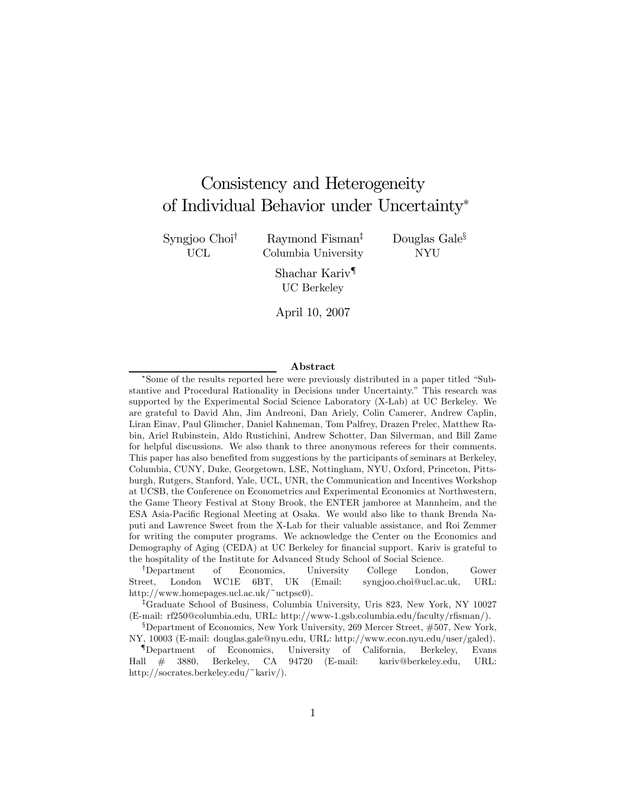# Consistency and Heterogeneity of Individual Behavior under Uncertainty<sup>∗</sup>

Syngjoo Choi† UCL

Raymond Fisman‡ Columbia University Douglas Gale<sup>§</sup> NYU

Shachar Kariv¶ UC Berkeley

April 10, 2007

#### Abstract

∗Some of the results reported here were previously distributed in a paper titled "Substantive and Procedural Rationality in Decisions under Uncertainty." This research was supported by the Experimental Social Science Laboratory (X-Lab) at UC Berkeley. We are grateful to David Ahn, Jim Andreoni, Dan Ariely, Colin Camerer, Andrew Caplin, Liran Einav, Paul Glimcher, Daniel Kahneman, Tom Palfrey, Drazen Prelec, Matthew Rabin, Ariel Rubinstein, Aldo Rustichini, Andrew Schotter, Dan Silverman, and Bill Zame for helpful discussions. We also thank to three anonymous referees for their comments. This paper has also benefited from suggestions by the participants of seminars at Berkeley, Columbia, CUNY, Duke, Georgetown, LSE, Nottingham, NYU, Oxford, Princeton, Pittsburgh, Rutgers, Stanford, Yale, UCL, UNR, the Communication and Incentives Workshop at UCSB, the Conference on Econometrics and Experimental Economics at Northwestern, the Game Theory Festival at Stony Brook, the ENTER jamboree at Mannheim, and the ESA Asia-Pacific Regional Meeting at Osaka. We would also like to thank Brenda Naputi and Lawrence Sweet from the X-Lab for their valuable assistance, and Roi Zemmer for writing the computer programs. We acknowledge the Center on the Economics and Demography of Aging (CEDA) at UC Berkeley for financial support. Kariv is grateful to the hospitality of the Institute for Advanced Study School of Social Science.

†Department of Economics, University College London, Gower Street, London WC1E 6BT, UK (Email: syngjoo.choi@ucl.ac.uk, URL: http://www.homepages.ucl.ac.uk/~uctpsc0).

‡Graduate School of Business, Columbia University, Uris 823, New York, NY 10027 (E-mail: rf250@columbia.edu, URL: http://www-1.gsb.columbia.edu/faculty/rfisman/).

§Department of Economics, New York University, 269 Mercer Street, #507, New York, NY, 10003 (E-mail: douglas.gale@nyu.edu, URL: http://www.econ.nyu.edu/user/galed).

¶Department of Economics, University of California, Berkeley, Evans Hall # 3880, Berkeley, CA 94720 (E-mail: kariv@berkeley.edu, URL: http://socrates.berkeley.edu/~kariv/).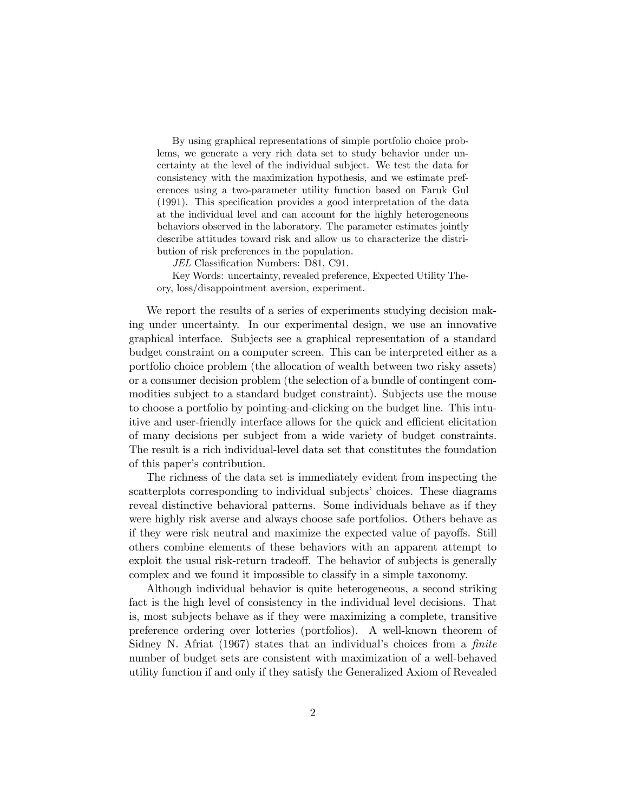By using graphical representations of simple portfolio choice problems, we generate a very rich data set to study behavior under uncertainty at the level of the individual subject. We test the data for consistency with the maximization hypothesis, and we estimate preferences using a two-parameter utility function based on Faruk Gul (1991). This specification provides a good interpretation of the data at the individual level and can account for the highly heterogeneous behaviors observed in the laboratory. The parameter estimates jointly describe attitudes toward risk and allow us to characterize the distribution of risk preferences in the population.

JEL Classification Numbers: D81, C91.

Key Words: uncertainty, revealed preference, Expected Utility Theory, loss/disappointment aversion, experiment.

We report the results of a series of experiments studying decision making under uncertainty. In our experimental design, we use an innovative graphical interface. Subjects see a graphical representation of a standard budget constraint on a computer screen. This can be interpreted either as a portfolio choice problem (the allocation of wealth between two risky assets) or a consumer decision problem (the selection of a bundle of contingent commodities subject to a standard budget constraint). Subjects use the mouse to choose a portfolio by pointing-and-clicking on the budget line. This intuitive and user-friendly interface allows for the quick and efficient elicitation of many decisions per subject from a wide variety of budget constraints. The result is a rich individual-level data set that constitutes the foundation of this paper's contribution.

The richness of the data set is immediately evident from inspecting the scatterplots corresponding to individual subjects' choices. These diagrams reveal distinctive behavioral patterns. Some individuals behave as if they were highly risk averse and always choose safe portfolios. Others behave as if they were risk neutral and maximize the expected value of payoffs. Still others combine elements of these behaviors with an apparent attempt to exploit the usual risk-return tradeoff. The behavior of subjects is generally complex and we found it impossible to classify in a simple taxonomy.

Although individual behavior is quite heterogeneous, a second striking fact is the high level of consistency in the individual level decisions. That is, most subjects behave as if they were maximizing a complete, transitive preference ordering over lotteries (portfolios). A well-known theorem of Sidney N. Afriat (1967) states that an individual's choices from a finite number of budget sets are consistent with maximization of a well-behaved utility function if and only if they satisfy the Generalized Axiom of Revealed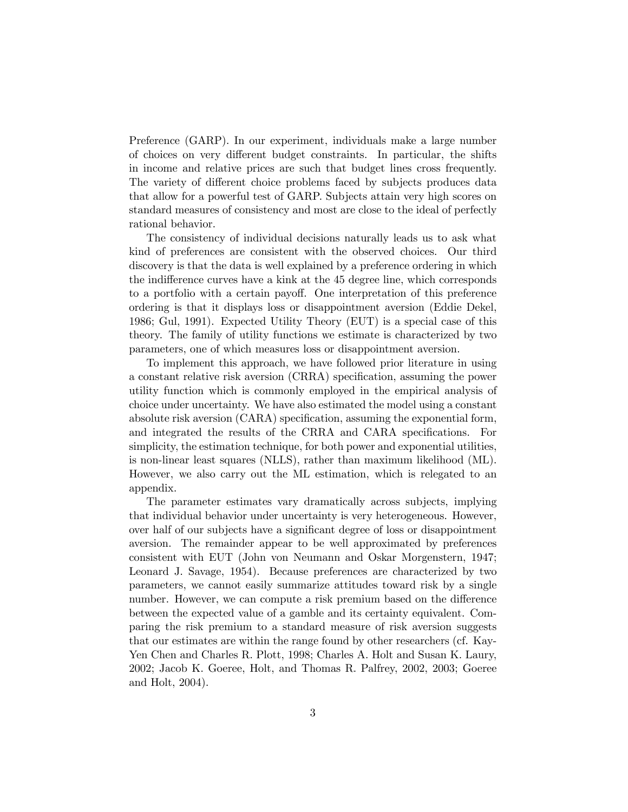Preference (GARP). In our experiment, individuals make a large number of choices on very different budget constraints. In particular, the shifts in income and relative prices are such that budget lines cross frequently. The variety of different choice problems faced by subjects produces data that allow for a powerful test of GARP. Subjects attain very high scores on standard measures of consistency and most are close to the ideal of perfectly rational behavior.

The consistency of individual decisions naturally leads us to ask what kind of preferences are consistent with the observed choices. Our third discovery is that the data is well explained by a preference ordering in which the indifference curves have a kink at the 45 degree line, which corresponds to a portfolio with a certain payoff. One interpretation of this preference ordering is that it displays loss or disappointment aversion (Eddie Dekel, 1986; Gul, 1991). Expected Utility Theory (EUT) is a special case of this theory. The family of utility functions we estimate is characterized by two parameters, one of which measures loss or disappointment aversion.

To implement this approach, we have followed prior literature in using a constant relative risk aversion (CRRA) specification, assuming the power utility function which is commonly employed in the empirical analysis of choice under uncertainty. We have also estimated the model using a constant absolute risk aversion (CARA) specification, assuming the exponential form, and integrated the results of the CRRA and CARA specifications. For simplicity, the estimation technique, for both power and exponential utilities, is non-linear least squares (NLLS), rather than maximum likelihood (ML). However, we also carry out the ML estimation, which is relegated to an appendix.

The parameter estimates vary dramatically across subjects, implying that individual behavior under uncertainty is very heterogeneous. However, over half of our subjects have a significant degree of loss or disappointment aversion. The remainder appear to be well approximated by preferences consistent with EUT (John von Neumann and Oskar Morgenstern, 1947; Leonard J. Savage, 1954). Because preferences are characterized by two parameters, we cannot easily summarize attitudes toward risk by a single number. However, we can compute a risk premium based on the difference between the expected value of a gamble and its certainty equivalent. Comparing the risk premium to a standard measure of risk aversion suggests that our estimates are within the range found by other researchers (cf. Kay-Yen Chen and Charles R. Plott, 1998; Charles A. Holt and Susan K. Laury, 2002; Jacob K. Goeree, Holt, and Thomas R. Palfrey, 2002, 2003; Goeree and Holt, 2004).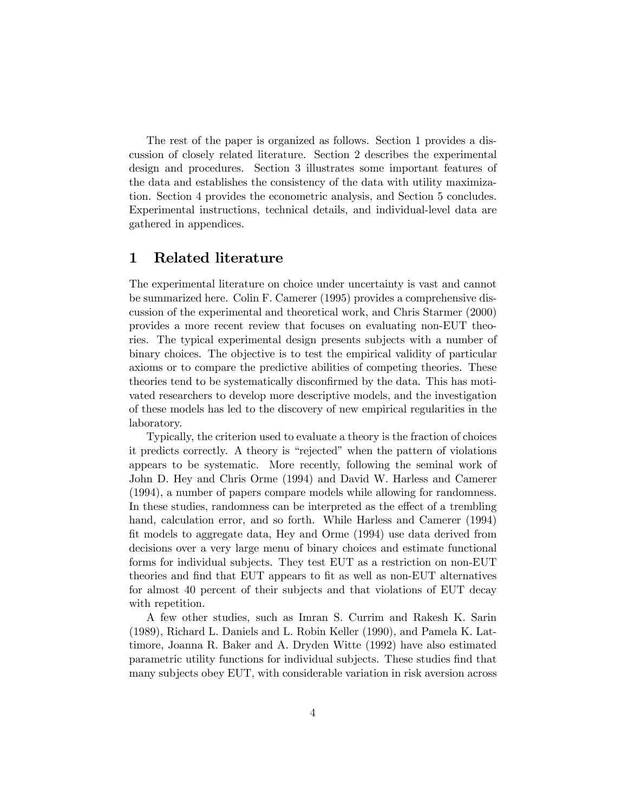The rest of the paper is organized as follows. Section 1 provides a discussion of closely related literature. Section 2 describes the experimental design and procedures. Section 3 illustrates some important features of the data and establishes the consistency of the data with utility maximization. Section 4 provides the econometric analysis, and Section 5 concludes. Experimental instructions, technical details, and individual-level data are gathered in appendices.

# 1 Related literature

The experimental literature on choice under uncertainty is vast and cannot be summarized here. Colin F. Camerer (1995) provides a comprehensive discussion of the experimental and theoretical work, and Chris Starmer (2000) provides a more recent review that focuses on evaluating non-EUT theories. The typical experimental design presents subjects with a number of binary choices. The objective is to test the empirical validity of particular axioms or to compare the predictive abilities of competing theories. These theories tend to be systematically disconfirmed by the data. This has motivated researchers to develop more descriptive models, and the investigation of these models has led to the discovery of new empirical regularities in the laboratory.

Typically, the criterion used to evaluate a theory is the fraction of choices it predicts correctly. A theory is "rejected" when the pattern of violations appears to be systematic. More recently, following the seminal work of John D. Hey and Chris Orme (1994) and David W. Harless and Camerer (1994), a number of papers compare models while allowing for randomness. In these studies, randomness can be interpreted as the effect of a trembling hand, calculation error, and so forth. While Harless and Camerer (1994) fit models to aggregate data, Hey and Orme (1994) use data derived from decisions over a very large menu of binary choices and estimate functional forms for individual subjects. They test EUT as a restriction on non-EUT theories and find that EUT appears to fit as well as non-EUT alternatives for almost 40 percent of their subjects and that violations of EUT decay with repetition.

A few other studies, such as Imran S. Currim and Rakesh K. Sarin (1989), Richard L. Daniels and L. Robin Keller (1990), and Pamela K. Lattimore, Joanna R. Baker and A. Dryden Witte (1992) have also estimated parametric utility functions for individual subjects. These studies find that many subjects obey EUT, with considerable variation in risk aversion across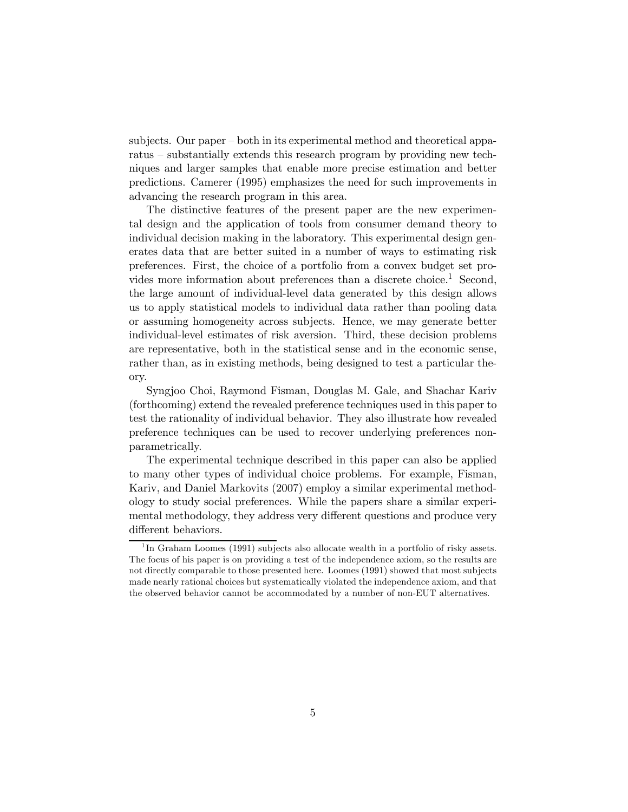subjects. Our paper — both in its experimental method and theoretical apparatus — substantially extends this research program by providing new techniques and larger samples that enable more precise estimation and better predictions. Camerer (1995) emphasizes the need for such improvements in advancing the research program in this area.

The distinctive features of the present paper are the new experimental design and the application of tools from consumer demand theory to individual decision making in the laboratory. This experimental design generates data that are better suited in a number of ways to estimating risk preferences. First, the choice of a portfolio from a convex budget set provides more information about preferences than a discrete choice.<sup>1</sup> Second, the large amount of individual-level data generated by this design allows us to apply statistical models to individual data rather than pooling data or assuming homogeneity across subjects. Hence, we may generate better individual-level estimates of risk aversion. Third, these decision problems are representative, both in the statistical sense and in the economic sense, rather than, as in existing methods, being designed to test a particular theory.

Syngjoo Choi, Raymond Fisman, Douglas M. Gale, and Shachar Kariv (forthcoming) extend the revealed preference techniques used in this paper to test the rationality of individual behavior. They also illustrate how revealed preference techniques can be used to recover underlying preferences nonparametrically.

The experimental technique described in this paper can also be applied to many other types of individual choice problems. For example, Fisman, Kariv, and Daniel Markovits (2007) employ a similar experimental methodology to study social preferences. While the papers share a similar experimental methodology, they address very different questions and produce very different behaviors.

 $1 \text{ In Graham Loomes (1991) subjects also allocate wealth in a portfolio of risky assets.}$ The focus of his paper is on providing a test of the independence axiom, so the results are not directly comparable to those presented here. Loomes (1991) showed that most subjects made nearly rational choices but systematically violated the independence axiom, and that the observed behavior cannot be accommodated by a number of non-EUT alternatives.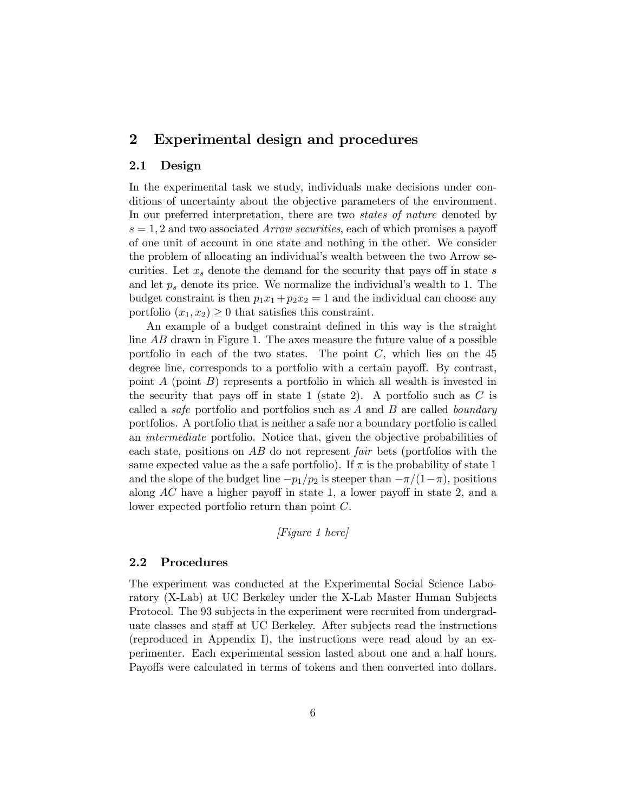# 2 Experimental design and procedures

#### 2.1 Design

In the experimental task we study, individuals make decisions under conditions of uncertainty about the objective parameters of the environment. In our preferred interpretation, there are two *states of nature* denoted by  $s = 1, 2$  and two associated *Arrow securities*, each of which promises a payoff of one unit of account in one state and nothing in the other. We consider the problem of allocating an individual's wealth between the two Arrow securities. Let  $x_s$  denote the demand for the security that pays off in state  $s$ and let  $p_s$  denote its price. We normalize the individual's wealth to 1. The budget constraint is then  $p_1x_1 + p_2x_2 = 1$  and the individual can choose any portfolio  $(x_1, x_2) \geq 0$  that satisfies this constraint.

An example of a budget constraint defined in this way is the straight line AB drawn in Figure 1. The axes measure the future value of a possible portfolio in each of the two states. The point  $C$ , which lies on the 45 degree line, corresponds to a portfolio with a certain payoff. By contrast, point A (point  $B$ ) represents a portfolio in which all wealth is invested in the security that pays off in state 1 (state 2). A portfolio such as  $C$  is called a safe portfolio and portfolios such as A and B are called boundary portfolios. A portfolio that is neither a safe nor a boundary portfolio is called an intermediate portfolio. Notice that, given the objective probabilities of each state, positions on  $AB$  do not represent fair bets (portfolios with the same expected value as the a safe portfolio). If  $\pi$  is the probability of state 1 and the slope of the budget line  $-p_1/p_2$  is steeper than  $-\pi/(1-\pi)$ , positions along AC have a higher payoff in state 1, a lower payoff in state 2, and a lower expected portfolio return than point C.

[Figure 1 here]

#### 2.2 Procedures

The experiment was conducted at the Experimental Social Science Laboratory (X-Lab) at UC Berkeley under the X-Lab Master Human Subjects Protocol. The 93 subjects in the experiment were recruited from undergraduate classes and staff at UC Berkeley. After subjects read the instructions (reproduced in Appendix I), the instructions were read aloud by an experimenter. Each experimental session lasted about one and a half hours. Payoffs were calculated in terms of tokens and then converted into dollars.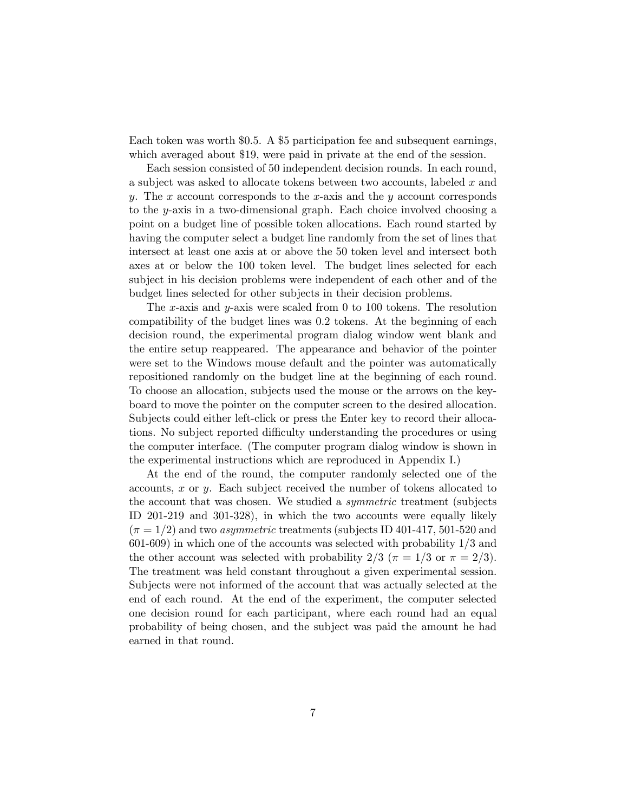Each token was worth \$0.5. A \$5 participation fee and subsequent earnings, which averaged about \$19, were paid in private at the end of the session.

Each session consisted of 50 independent decision rounds. In each round, a subject was asked to allocate tokens between two accounts, labeled x and y. The x account corresponds to the x-axis and the y account corresponds to the y-axis in a two-dimensional graph. Each choice involved choosing a point on a budget line of possible token allocations. Each round started by having the computer select a budget line randomly from the set of lines that intersect at least one axis at or above the 50 token level and intersect both axes at or below the 100 token level. The budget lines selected for each subject in his decision problems were independent of each other and of the budget lines selected for other subjects in their decision problems.

The x-axis and y-axis were scaled from 0 to 100 tokens. The resolution compatibility of the budget lines was 0.2 tokens. At the beginning of each decision round, the experimental program dialog window went blank and the entire setup reappeared. The appearance and behavior of the pointer were set to the Windows mouse default and the pointer was automatically repositioned randomly on the budget line at the beginning of each round. To choose an allocation, subjects used the mouse or the arrows on the keyboard to move the pointer on the computer screen to the desired allocation. Subjects could either left-click or press the Enter key to record their allocations. No subject reported difficulty understanding the procedures or using the computer interface. (The computer program dialog window is shown in the experimental instructions which are reproduced in Appendix I.)

At the end of the round, the computer randomly selected one of the accounts, x or y. Each subject received the number of tokens allocated to the account that was chosen. We studied a *symmetric* treatment (subjects ID 201-219 and 301-328), in which the two accounts were equally likely  $(\pi = 1/2)$  and two *asymmetric* treatments (subjects ID 401-417, 501-520 and 601-609) in which one of the accounts was selected with probability 1/3 and the other account was selected with probability  $2/3$  ( $\pi = 1/3$  or  $\pi = 2/3$ ). The treatment was held constant throughout a given experimental session. Subjects were not informed of the account that was actually selected at the end of each round. At the end of the experiment, the computer selected one decision round for each participant, where each round had an equal probability of being chosen, and the subject was paid the amount he had earned in that round.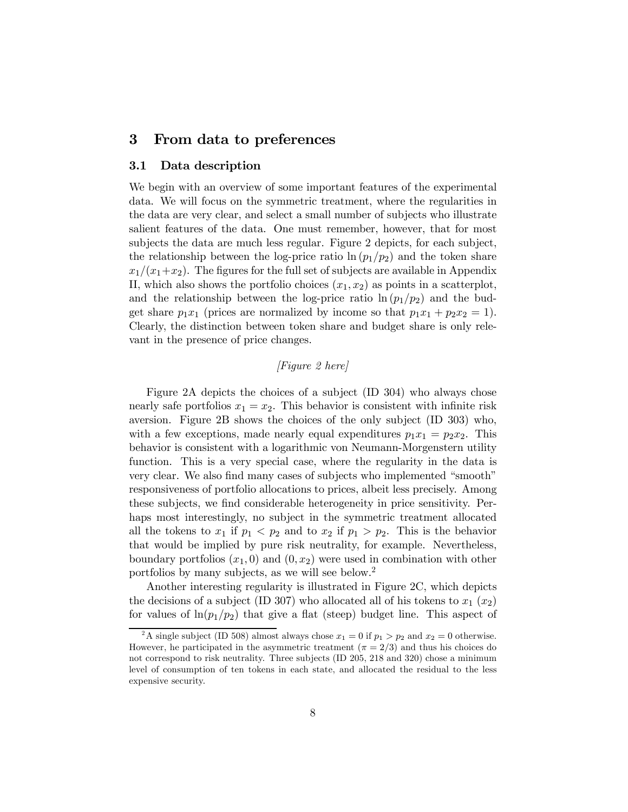## 3 From data to preferences

#### 3.1 Data description

We begin with an overview of some important features of the experimental data. We will focus on the symmetric treatment, where the regularities in the data are very clear, and select a small number of subjects who illustrate salient features of the data. One must remember, however, that for most subjects the data are much less regular. Figure 2 depicts, for each subject, the relationship between the log-price ratio  $\ln (p_1/p_2)$  and the token share  $x_1/(x_1+x_2)$ . The figures for the full set of subjects are available in Appendix II, which also shows the portfolio choices  $(x_1, x_2)$  as points in a scatterplot, and the relationship between the log-price ratio  $\ln (p_1/p_2)$  and the budget share  $p_1x_1$  (prices are normalized by income so that  $p_1x_1 + p_2x_2 = 1$ ). Clearly, the distinction between token share and budget share is only relevant in the presence of price changes.

## [Figure 2 here]

Figure 2A depicts the choices of a subject (ID 304) who always chose nearly safe portfolios  $x_1 = x_2$ . This behavior is consistent with infinite risk aversion. Figure 2B shows the choices of the only subject (ID 303) who, with a few exceptions, made nearly equal expenditures  $p_1x_1 = p_2x_2$ . This behavior is consistent with a logarithmic von Neumann-Morgenstern utility function. This is a very special case, where the regularity in the data is very clear. We also find many cases of subjects who implemented "smooth" responsiveness of portfolio allocations to prices, albeit less precisely. Among these subjects, we find considerable heterogeneity in price sensitivity. Perhaps most interestingly, no subject in the symmetric treatment allocated all the tokens to  $x_1$  if  $p_1 < p_2$  and to  $x_2$  if  $p_1 > p_2$ . This is the behavior that would be implied by pure risk neutrality, for example. Nevertheless, boundary portfolios  $(x_1, 0)$  and  $(0, x_2)$  were used in combination with other portfolios by many subjects, as we will see below.<sup>2</sup>

Another interesting regularity is illustrated in Figure 2C, which depicts the decisions of a subject (ID 307) who allocated all of his tokens to  $x_1(x_2)$ for values of  $\ln(p_1/p_2)$  that give a flat (steep) budget line. This aspect of

<sup>&</sup>lt;sup>2</sup>A single subject (ID 508) almost always chose  $x_1 = 0$  if  $p_1 > p_2$  and  $x_2 = 0$  otherwise. However, he participated in the asymmetric treatment ( $\pi = 2/3$ ) and thus his choices do not correspond to risk neutrality. Three subjects (ID 205, 218 and 320) chose a minimum level of consumption of ten tokens in each state, and allocated the residual to the less expensive security.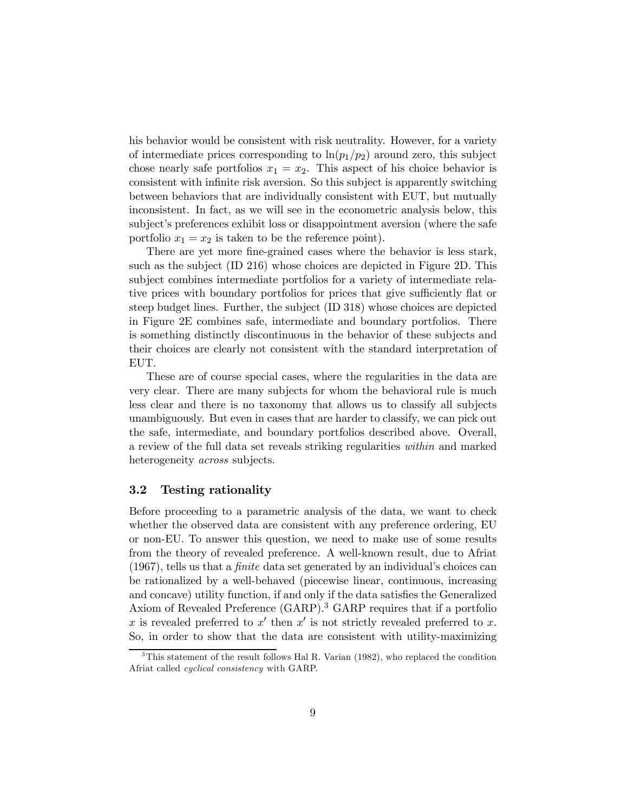his behavior would be consistent with risk neutrality. However, for a variety of intermediate prices corresponding to  $\ln(p_1/p_2)$  around zero, this subject chose nearly safe portfolios  $x_1 = x_2$ . This aspect of his choice behavior is consistent with infinite risk aversion. So this subject is apparently switching between behaviors that are individually consistent with EUT, but mutually inconsistent. In fact, as we will see in the econometric analysis below, this subject's preferences exhibit loss or disappointment aversion (where the safe portfolio  $x_1 = x_2$  is taken to be the reference point).

There are yet more fine-grained cases where the behavior is less stark, such as the subject (ID 216) whose choices are depicted in Figure 2D. This subject combines intermediate portfolios for a variety of intermediate relative prices with boundary portfolios for prices that give sufficiently flat or steep budget lines. Further, the subject (ID 318) whose choices are depicted in Figure 2E combines safe, intermediate and boundary portfolios. There is something distinctly discontinuous in the behavior of these subjects and their choices are clearly not consistent with the standard interpretation of EUT.

These are of course special cases, where the regularities in the data are very clear. There are many subjects for whom the behavioral rule is much less clear and there is no taxonomy that allows us to classify all subjects unambiguously. But even in cases that are harder to classify, we can pick out the safe, intermediate, and boundary portfolios described above. Overall, a review of the full data set reveals striking regularities within and marked heterogeneity *across* subjects.

#### 3.2 Testing rationality

Before proceeding to a parametric analysis of the data, we want to check whether the observed data are consistent with any preference ordering, EU or non-EU. To answer this question, we need to make use of some results from the theory of revealed preference. A well-known result, due to Afriat (1967), tells us that a finite data set generated by an individual's choices can be rationalized by a well-behaved (piecewise linear, continuous, increasing and concave) utility function, if and only if the data satisfies the Generalized Axiom of Revealed Preference (GARP).<sup>3</sup> GARP requires that if a portfolio x is revealed preferred to  $x'$  then  $x'$  is not strictly revealed preferred to x. So, in order to show that the data are consistent with utility-maximizing

<sup>&</sup>lt;sup>3</sup>This statement of the result follows Hal R. Varian (1982), who replaced the condition Afriat called cyclical consistency with GARP.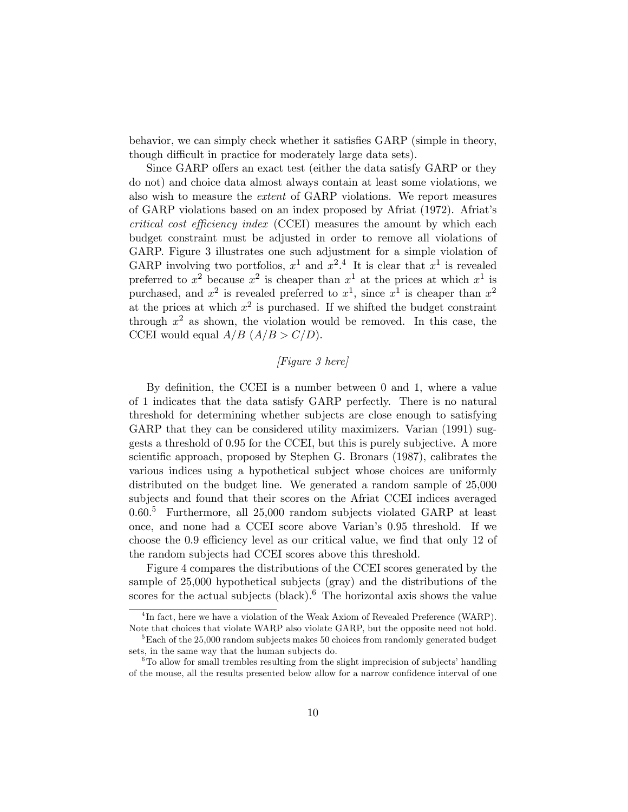behavior, we can simply check whether it satisfies GARP (simple in theory, though difficult in practice for moderately large data sets).

Since GARP offers an exact test (either the data satisfy GARP or they do not) and choice data almost always contain at least some violations, we also wish to measure the extent of GARP violations. We report measures of GARP violations based on an index proposed by Afriat (1972). Afriat's critical cost efficiency index (CCEI) measures the amount by which each budget constraint must be adjusted in order to remove all violations of GARP. Figure 3 illustrates one such adjustment for a simple violation of GARP involving two portfolios,  $x^1$  and  $x^2$ <sup>4</sup>. It is clear that  $x^1$  is revealed preferred to  $x^2$  because  $x^2$  is cheaper than  $x^1$  at the prices at which  $x^1$  is purchased, and  $x^2$  is revealed preferred to  $x^1$ , since  $x^1$  is cheaper than  $x^2$ at the prices at which  $x^2$  is purchased. If we shifted the budget constraint through  $x^2$  as shown, the violation would be removed. In this case, the CCEI would equal  $A/B$   $(A/B > C/D)$ .

#### [Figure 3 here]

By definition, the CCEI is a number between 0 and 1, where a value of 1 indicates that the data satisfy GARP perfectly. There is no natural threshold for determining whether subjects are close enough to satisfying GARP that they can be considered utility maximizers. Varian (1991) suggests a threshold of 0.95 for the CCEI, but this is purely subjective. A more scientific approach, proposed by Stephen G. Bronars (1987), calibrates the various indices using a hypothetical subject whose choices are uniformly distributed on the budget line. We generated a random sample of 25,000 subjects and found that their scores on the Afriat CCEI indices averaged 0.60. <sup>5</sup> Furthermore, all 25,000 random subjects violated GARP at least once, and none had a CCEI score above Varian's 0.95 threshold. If we choose the 0.9 efficiency level as our critical value, we find that only 12 of the random subjects had CCEI scores above this threshold.

Figure 4 compares the distributions of the CCEI scores generated by the sample of 25,000 hypothetical subjects (gray) and the distributions of the scores for the actual subjects (black).<sup>6</sup> The horizontal axis shows the value

<sup>&</sup>lt;sup>4</sup>In fact, here we have a violation of the Weak Axiom of Revealed Preference (WARP).

Note that choices that violate WARP also violate GARP, but the opposite need not hold. <sup>5</sup>Each of the 25,000 random subjects makes 50 choices from randomly generated budget sets, in the same way that the human subjects do.

<sup>&</sup>lt;sup>6</sup>To allow for small trembles resulting from the slight imprecision of subjects' handling of the mouse, all the results presented below allow for a narrow confidence interval of one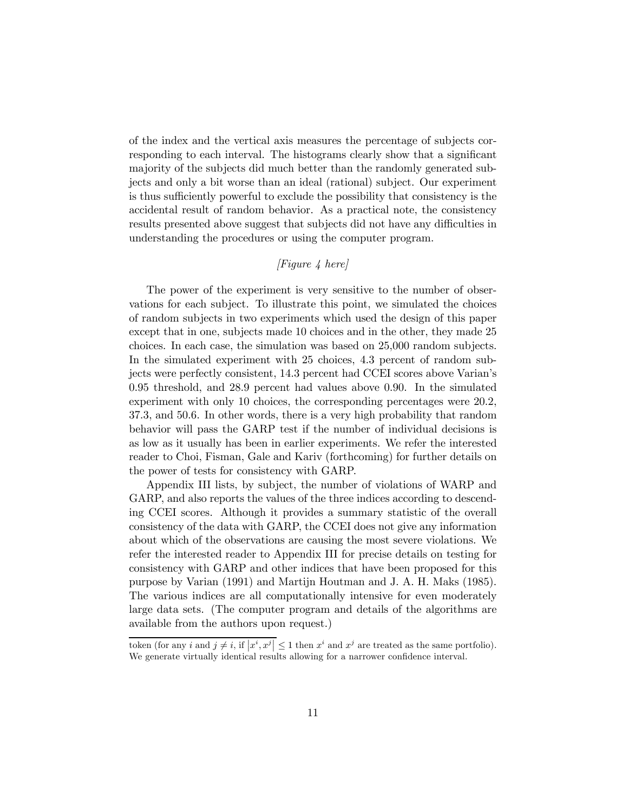of the index and the vertical axis measures the percentage of subjects corresponding to each interval. The histograms clearly show that a significant majority of the subjects did much better than the randomly generated subjects and only a bit worse than an ideal (rational) subject. Our experiment is thus sufficiently powerful to exclude the possibility that consistency is the accidental result of random behavior. As a practical note, the consistency results presented above suggest that subjects did not have any difficulties in understanding the procedures or using the computer program.

## $[Figure 4 here]$

The power of the experiment is very sensitive to the number of observations for each subject. To illustrate this point, we simulated the choices of random subjects in two experiments which used the design of this paper except that in one, subjects made 10 choices and in the other, they made 25 choices. In each case, the simulation was based on 25,000 random subjects. In the simulated experiment with 25 choices, 4.3 percent of random subjects were perfectly consistent, 14.3 percent had CCEI scores above Varian's 0.95 threshold, and 28.9 percent had values above 0.90. In the simulated experiment with only 10 choices, the corresponding percentages were 20.2, 37.3, and 50.6. In other words, there is a very high probability that random behavior will pass the GARP test if the number of individual decisions is as low as it usually has been in earlier experiments. We refer the interested reader to Choi, Fisman, Gale and Kariv (forthcoming) for further details on the power of tests for consistency with GARP.

Appendix III lists, by subject, the number of violations of WARP and GARP, and also reports the values of the three indices according to descending CCEI scores. Although it provides a summary statistic of the overall consistency of the data with GARP, the CCEI does not give any information about which of the observations are causing the most severe violations. We refer the interested reader to Appendix III for precise details on testing for consistency with GARP and other indices that have been proposed for this purpose by Varian (1991) and Martijn Houtman and J. A. H. Maks (1985). The various indices are all computationally intensive for even moderately large data sets. (The computer program and details of the algorithms are available from the authors upon request.)

token (for any i and  $j \neq i$ , if  $|x^i, x^j| \leq 1$  then  $x^i$  and  $x^j$  are treated as the same portfolio). We generate virtually identical results allowing for a narrower confidence interval.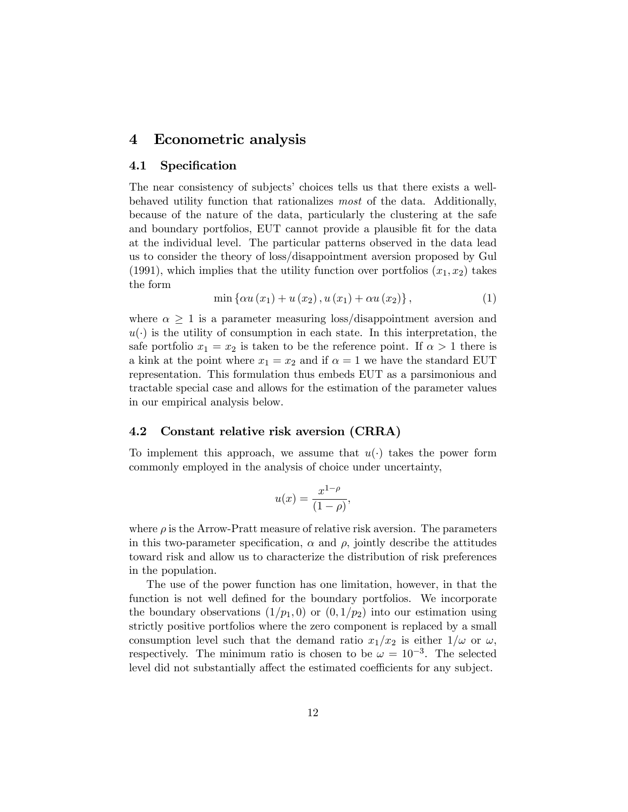# 4 Econometric analysis

#### 4.1 Specification

The near consistency of subjects' choices tells us that there exists a wellbehaved utility function that rationalizes most of the data. Additionally, because of the nature of the data, particularly the clustering at the safe and boundary portfolios, EUT cannot provide a plausible fit for the data at the individual level. The particular patterns observed in the data lead us to consider the theory of loss/disappointment aversion proposed by Gul (1991), which implies that the utility function over portfolios  $(x_1, x_2)$  takes the form

$$
\min \{ \alpha u(x_1) + u(x_2), u(x_1) + \alpha u(x_2) \},\tag{1}
$$

where  $\alpha \geq 1$  is a parameter measuring loss/disappointment aversion and  $u(\cdot)$  is the utility of consumption in each state. In this interpretation, the safe portfolio  $x_1 = x_2$  is taken to be the reference point. If  $\alpha > 1$  there is a kink at the point where  $x_1 = x_2$  and if  $\alpha = 1$  we have the standard EUT representation. This formulation thus embeds EUT as a parsimonious and tractable special case and allows for the estimation of the parameter values in our empirical analysis below.

#### 4.2 Constant relative risk aversion (CRRA)

To implement this approach, we assume that  $u(\cdot)$  takes the power form commonly employed in the analysis of choice under uncertainty,

$$
u(x) = \frac{x^{1-\rho}}{(1-\rho)},
$$

where  $\rho$  is the Arrow-Pratt measure of relative risk aversion. The parameters in this two-parameter specification,  $\alpha$  and  $\rho$ , jointly describe the attitudes toward risk and allow us to characterize the distribution of risk preferences in the population.

The use of the power function has one limitation, however, in that the function is not well defined for the boundary portfolios. We incorporate the boundary observations  $(1/p_1, 0)$  or  $(0, 1/p_2)$  into our estimation using strictly positive portfolios where the zero component is replaced by a small consumption level such that the demand ratio  $x_1/x_2$  is either  $1/\omega$  or  $\omega$ , respectively. The minimum ratio is chosen to be  $\omega = 10^{-3}$ . The selected level did not substantially affect the estimated coefficients for any subject.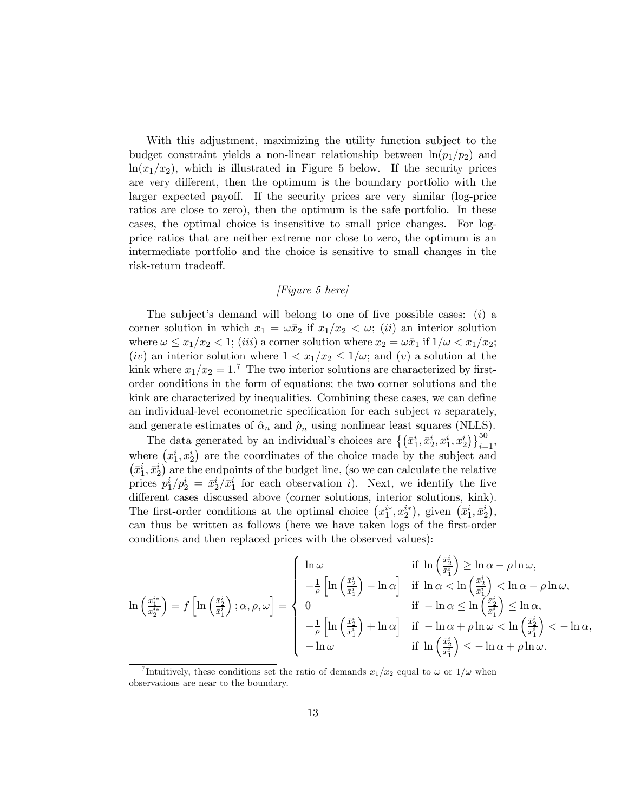With this adjustment, maximizing the utility function subject to the budget constraint yields a non-linear relationship between  $\ln(p_1/p_2)$  and  $ln(x_1/x_2)$ , which is illustrated in Figure 5 below. If the security prices are very different, then the optimum is the boundary portfolio with the larger expected payoff. If the security prices are very similar (log-price ratios are close to zero), then the optimum is the safe portfolio. In these cases, the optimal choice is insensitive to small price changes. For logprice ratios that are neither extreme nor close to zero, the optimum is an intermediate portfolio and the choice is sensitive to small changes in the risk-return tradeoff.

## [Figure 5 here]

The subject's demand will belong to one of five possible cases: (i) a corner solution in which  $x_1 = \omega \bar{x}_2$  if  $x_1/x_2 < \omega$ ; (*ii*) an interior solution where  $\omega \leq x_1/x_2 < 1$ ; (iii) a corner solution where  $x_2 = \omega \bar{x}_1$  if  $1/\omega < x_1/x_2$ ; (*iv*) an interior solution where  $1 < x_1/x_2 \le 1/\omega$ ; and (*v*) a solution at the kink where  $x_1/x_2 = 1$ .<sup>7</sup> The two interior solutions are characterized by firstorder conditions in the form of equations; the two corner solutions and the kink are characterized by inequalities. Combining these cases, we can define an individual-level econometric specification for each subject  $n$  separately, and generate estimates of  $\hat{\alpha}_n$  and  $\hat{\rho}_n$  using nonlinear least squares (NLLS).

The data generated by an individual's choices are  $\{(\bar{x}_1^i, \bar{x}_2^i, x_1^i, x_2^i)\}_{i=1}^{50}$ , where  $(x_1^i, x_2^i)$  are the coordinates of the choice made by the subject and  $(\bar{x}_1^i, \bar{x}_2^i)$  are the endpoints of the budget line, (so we can calculate the relative prices  $p_1^i/p_2^i = \bar{x}_2^i/\bar{x}_1^i$  for each observation *i*). Next, we identify the five different cases discussed above (corner solutions, interior solutions, kink). The first-order conditions at the optimal choice  $(x_1^{i*}, x_2^{i*})$ , given  $(\bar{x}_1^i, \bar{x}_2^i)$ , can thus be written as follows (here we have taken logs of the first-order conditions and then replaced prices with the observed values):

$$
\ln\left(\frac{x_1^{i*}}{x_2^{i*}}\right) = f\left[\ln\left(\frac{\bar{x}_2^{i}}{\bar{x}_1^{i}}\right);\alpha,\rho,\omega\right] = \begin{cases} \ln \omega & \text{if } \ln\left(\frac{\bar{x}_2^{i}}{\bar{x}_1^{i}}\right) \geq \ln \alpha - \rho \ln \omega, \\ -\frac{1}{\rho}\left[\ln\left(\frac{\bar{x}_2^{i}}{\bar{x}_1^{i}}\right) - \ln \alpha\right] & \text{if } \ln \alpha < \ln\left(\frac{\bar{x}_2^{i}}{\bar{x}_1^{i}}\right) < \ln \alpha - \rho \ln \omega, \\ 0 & \text{if } -\ln \alpha \leq \ln\left(\frac{\bar{x}_2^{i}}{\bar{x}_1^{i}}\right) \leq \ln \alpha, \\ -\frac{1}{\rho}\left[\ln\left(\frac{\bar{x}_2^{i}}{\bar{x}_1^{i}}\right) + \ln \alpha\right] & \text{if } -\ln \alpha + \rho \ln \omega < \ln\left(\frac{\bar{x}_2^{i}}{\bar{x}_1^{i}}\right) < -\ln \alpha, \\ -\ln \omega & \text{if } \ln\left(\frac{\bar{x}_2^{i}}{\bar{x}_1^{i}}\right) \leq -\ln \alpha + \rho \ln \omega. \end{cases}
$$

<sup>&</sup>lt;sup>7</sup>Intuitively, these conditions set the ratio of demands  $x_1/x_2$  equal to  $\omega$  or  $1/\omega$  when observations are near to the boundary.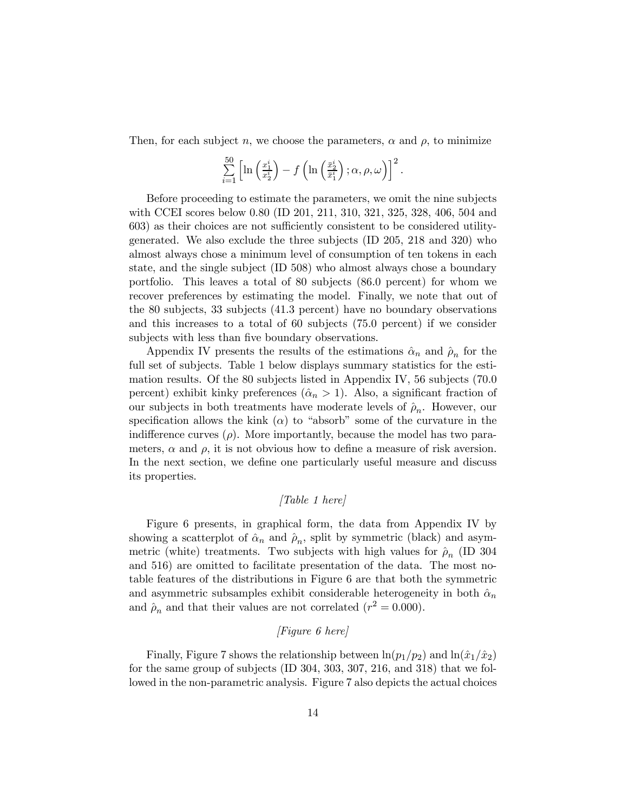Then, for each subject n, we choose the parameters,  $\alpha$  and  $\rho$ , to minimize

$$
\sum_{i=1}^{50} \left[ \ln \left( \frac{x_1^i}{x_2^i} \right) - f \left( \ln \left( \frac{\bar{x}_2^i}{\bar{x}_1^i} \right); \alpha, \rho, \omega \right) \right]^2.
$$

Before proceeding to estimate the parameters, we omit the nine subjects with CCEI scores below 0.80 (ID 201, 211, 310, 321, 325, 328, 406, 504 and 603) as their choices are not sufficiently consistent to be considered utilitygenerated. We also exclude the three subjects (ID 205, 218 and 320) who almost always chose a minimum level of consumption of ten tokens in each state, and the single subject (ID 508) who almost always chose a boundary portfolio. This leaves a total of 80 subjects (86.0 percent) for whom we recover preferences by estimating the model. Finally, we note that out of the 80 subjects, 33 subjects (41.3 percent) have no boundary observations and this increases to a total of 60 subjects (75.0 percent) if we consider subjects with less than five boundary observations.

Appendix IV presents the results of the estimations  $\hat{\alpha}_n$  and  $\hat{\rho}_n$  for the full set of subjects. Table 1 below displays summary statistics for the estimation results. Of the 80 subjects listed in Appendix IV, 56 subjects (70.0 percent) exhibit kinky preferences  $(\hat{\alpha}_n > 1)$ . Also, a significant fraction of our subjects in both treatments have moderate levels of  $\hat{\rho}_n$ . However, our specification allows the kink  $(\alpha)$  to "absorb" some of the curvature in the indifference curves  $(\rho)$ . More importantly, because the model has two parameters,  $\alpha$  and  $\rho$ , it is not obvious how to define a measure of risk aversion. In the next section, we define one particularly useful measure and discuss its properties.

## [Table 1 here]

Figure 6 presents, in graphical form, the data from Appendix IV by showing a scatterplot of  $\hat{\alpha}_n$  and  $\hat{\rho}_n$ , split by symmetric (black) and asymmetric (white) treatments. Two subjects with high values for  $\rho_n$  (ID 304 and 516) are omitted to facilitate presentation of the data. The most notable features of the distributions in Figure 6 are that both the symmetric and asymmetric subsamples exhibit considerable heterogeneity in both  $\hat{\alpha}_n$ and  $\hat{\rho}_n$  and that their values are not correlated  $(r^2 = 0.000)$ .

## [Figure 6 here]

Finally, Figure 7 shows the relationship between  $\ln(p_1/p_2)$  and  $\ln(\hat{x}_1/\hat{x}_2)$ for the same group of subjects (ID 304, 303, 307, 216, and 318) that we followed in the non-parametric analysis. Figure 7 also depicts the actual choices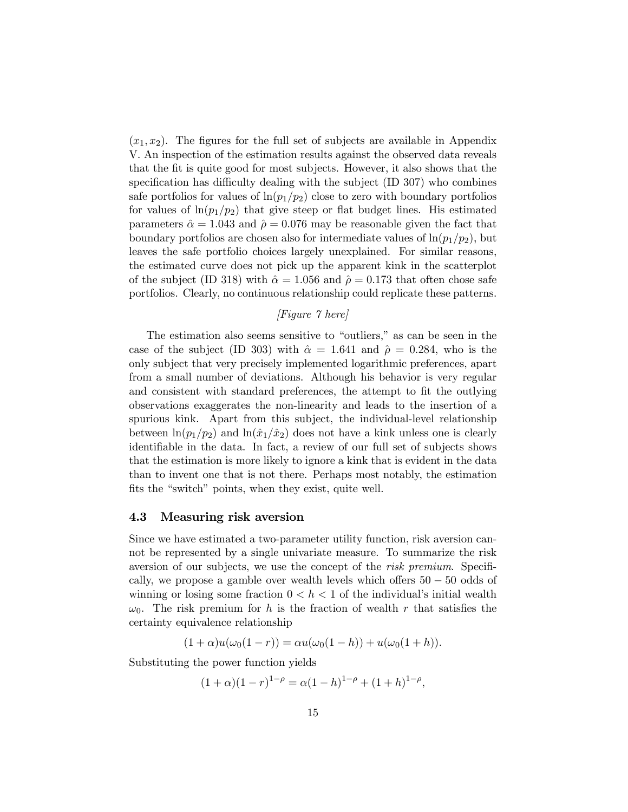$(x_1, x_2)$ . The figures for the full set of subjects are available in Appendix V. An inspection of the estimation results against the observed data reveals that the fit is quite good for most subjects. However, it also shows that the specification has difficulty dealing with the subject (ID 307) who combines safe portfolios for values of  $\ln(p_1/p_2)$  close to zero with boundary portfolios for values of  $\ln(p_1/p_2)$  that give steep or flat budget lines. His estimated parameters  $\hat{\alpha} = 1.043$  and  $\hat{\rho} = 0.076$  may be reasonable given the fact that boundary portfolios are chosen also for intermediate values of  $\ln(p_1/p_2)$ , but leaves the safe portfolio choices largely unexplained. For similar reasons, the estimated curve does not pick up the apparent kink in the scatterplot of the subject (ID 318) with  $\hat{\alpha} = 1.056$  and  $\hat{\rho} = 0.173$  that often chose safe portfolios. Clearly, no continuous relationship could replicate these patterns.

#### [Figure 7 here]

The estimation also seems sensitive to "outliers," as can be seen in the case of the subject (ID 303) with  $\hat{\alpha} = 1.641$  and  $\hat{\rho} = 0.284$ , who is the only subject that very precisely implemented logarithmic preferences, apart from a small number of deviations. Although his behavior is very regular and consistent with standard preferences, the attempt to fit the outlying observations exaggerates the non-linearity and leads to the insertion of a spurious kink. Apart from this subject, the individual-level relationship between  $\ln(p_1/p_2)$  and  $\ln(\hat{x}_1/\hat{x}_2)$  does not have a kink unless one is clearly identifiable in the data. In fact, a review of our full set of subjects shows that the estimation is more likely to ignore a kink that is evident in the data than to invent one that is not there. Perhaps most notably, the estimation fits the "switch" points, when they exist, quite well.

#### 4.3 Measuring risk aversion

Since we have estimated a two-parameter utility function, risk aversion cannot be represented by a single univariate measure. To summarize the risk aversion of our subjects, we use the concept of the *risk premium*. Specifically, we propose a gamble over wealth levels which offers  $50 - 50$  odds of winning or losing some fraction  $0 < h < 1$  of the individual's initial wealth  $\omega_0$ . The risk premium for h is the fraction of wealth r that satisfies the certainty equivalence relationship

$$
(1+\alpha)u(\omega_0(1-r)) = \alpha u(\omega_0(1-h)) + u(\omega_0(1+h)).
$$

Substituting the power function yields

$$
(1+\alpha)(1-r)^{1-\rho} = \alpha(1-h)^{1-\rho} + (1+h)^{1-\rho},
$$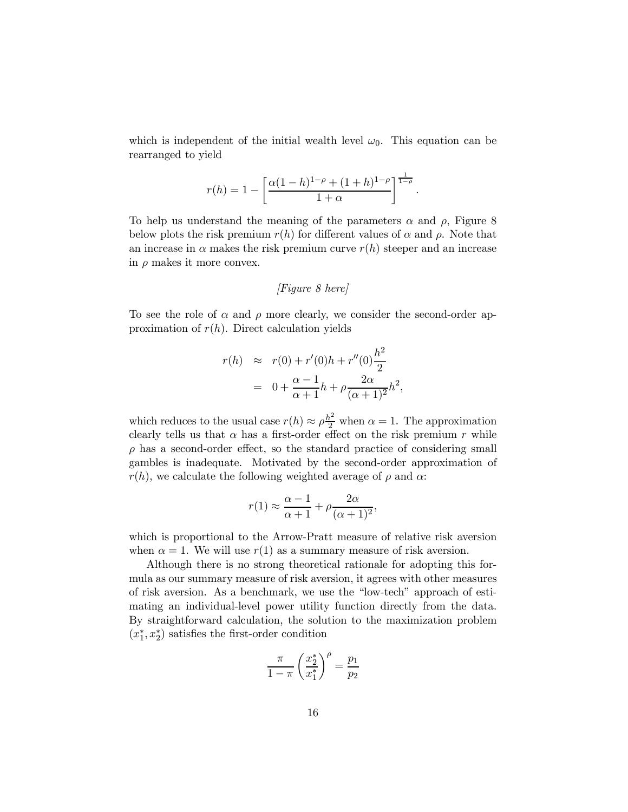which is independent of the initial wealth level  $\omega_0$ . This equation can be rearranged to yield

$$
r(h) = 1 - \left[ \frac{\alpha (1-h)^{1-\rho} + (1+h)^{1-\rho}}{1+\alpha} \right]^{\frac{1}{1-\rho}}.
$$

To help us understand the meaning of the parameters  $\alpha$  and  $\rho$ , Figure 8 below plots the risk premium  $r(h)$  for different values of  $\alpha$  and  $\rho$ . Note that an increase in  $\alpha$  makes the risk premium curve  $r(h)$  steeper and an increase in  $\rho$  makes it more convex.

[Figure 8 here]

To see the role of  $\alpha$  and  $\rho$  more clearly, we consider the second-order approximation of  $r(h)$ . Direct calculation yields

$$
r(h) \approx r(0) + r'(0)h + r''(0)\frac{h^2}{2}
$$
  
= 
$$
0 + \frac{\alpha - 1}{\alpha + 1}h + \rho \frac{2\alpha}{(\alpha + 1)^2}h^2,
$$

which reduces to the usual case  $r(h) \approx \rho \frac{h^2}{2}$  when  $\alpha = 1$ . The approximation clearly tells us that  $\alpha$  has a first-order effect on the risk premium r while  $\rho$  has a second-order effect, so the standard practice of considering small gambles is inadequate. Motivated by the second-order approximation of  $r(h)$ , we calculate the following weighted average of  $\rho$  and  $\alpha$ :

$$
r(1) \approx \frac{\alpha - 1}{\alpha + 1} + \rho \frac{2\alpha}{(\alpha + 1)^2},
$$

which is proportional to the Arrow-Pratt measure of relative risk aversion when  $\alpha = 1$ . We will use  $r(1)$  as a summary measure of risk aversion.

Although there is no strong theoretical rationale for adopting this formula as our summary measure of risk aversion, it agrees with other measures of risk aversion. As a benchmark, we use the "low-tech" approach of estimating an individual-level power utility function directly from the data. By straightforward calculation, the solution to the maximization problem  $(x_1^*, x_2^*)$  satisfies the first-order condition

$$
\frac{\pi}{1-\pi} \left(\frac{x_2^*}{x_1^*}\right)^{\rho} = \frac{p_1}{p_2}
$$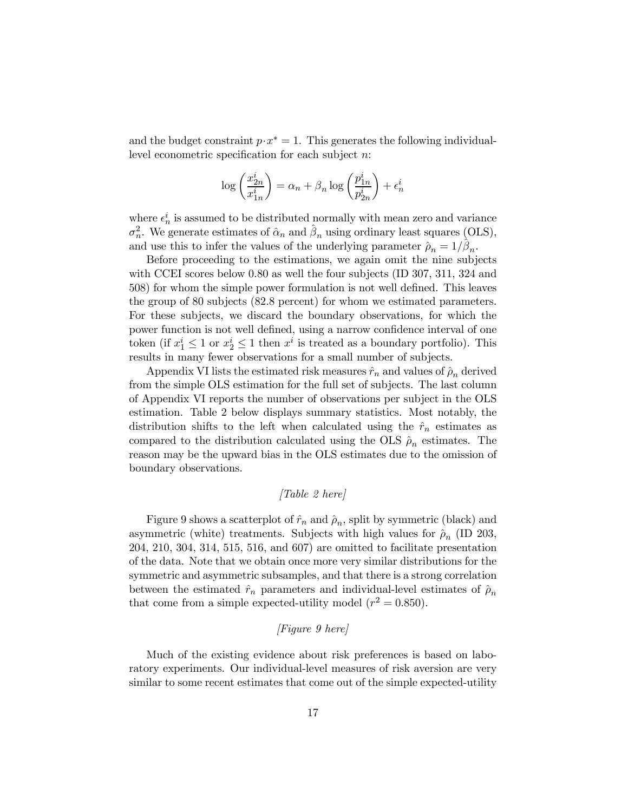and the budget constraint  $p \cdot x^* = 1$ . This generates the following individuallevel econometric specification for each subject  $n$ :

$$
\log\left(\frac{x_{2n}^i}{x_{1n}^i}\right) = \alpha_n + \beta_n \log\left(\frac{p_{1n}^i}{p_{2n}^i}\right) + \epsilon_n^i
$$

where  $\epsilon_n^i$  is assumed to be distributed normally with mean zero and variance  $\sigma_n^2$ . We generate estimates of  $\hat{\alpha}_n$  and  $\hat{\beta}_n$  using ordinary least squares (OLS), and use this to infer the values of the underlying parameter  $\hat{\rho}_n = 1/\beta_n$ .

Before proceeding to the estimations, we again omit the nine subjects with CCEI scores below 0.80 as well the four subjects (ID 307, 311, 324 and 508) for whom the simple power formulation is not well defined. This leaves the group of 80 subjects (82.8 percent) for whom we estimated parameters. For these subjects, we discard the boundary observations, for which the power function is not well defined, using a narrow confidence interval of one token (if  $x_1^i \leq 1$  or  $x_2^i \leq 1$  then  $x^i$  is treated as a boundary portfolio). This results in many fewer observations for a small number of subjects.

Appendix VI lists the estimated risk measures  $\hat{r}_n$  and values of  $\hat{\rho}_n$  derived from the simple OLS estimation for the full set of subjects. The last column of Appendix VI reports the number of observations per subject in the OLS estimation. Table 2 below displays summary statistics. Most notably, the distribution shifts to the left when calculated using the  $\hat{r}_n$  estimates as compared to the distribution calculated using the OLS  $\hat{\rho}_n$  estimates. The reason may be the upward bias in the OLS estimates due to the omission of boundary observations.

#### [Table 2 here]

Figure 9 shows a scatterplot of  $\hat{r}_n$  and  $\hat{\rho}_n$ , split by symmetric (black) and asymmetric (white) treatments. Subjects with high values for  $\rho_n$  (ID 203, 204, 210, 304, 314, 515, 516, and 607) are omitted to facilitate presentation of the data. Note that we obtain once more very similar distributions for the symmetric and asymmetric subsamples, and that there is a strong correlation between the estimated  $\hat{r}_n$  parameters and individual-level estimates of  $\hat{\rho}_n$ that come from a simple expected-utility model ( $r^2 = 0.850$ ).

## [Figure 9 here]

Much of the existing evidence about risk preferences is based on laboratory experiments. Our individual-level measures of risk aversion are very similar to some recent estimates that come out of the simple expected-utility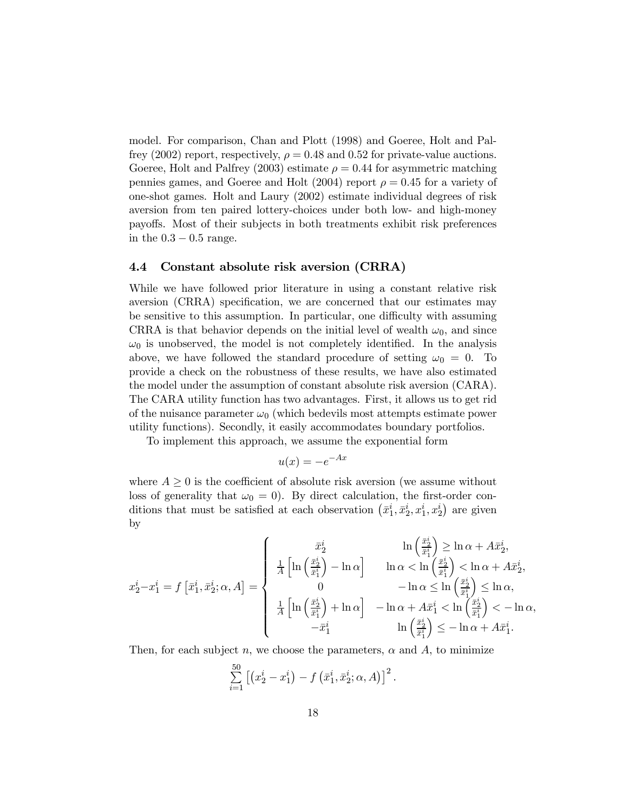model. For comparison, Chan and Plott (1998) and Goeree, Holt and Palfrey (2002) report, respectively,  $\rho = 0.48$  and 0.52 for private-value auctions. Goeree, Holt and Palfrey (2003) estimate  $\rho = 0.44$  for asymmetric matching pennies games, and Goeree and Holt (2004) report  $\rho = 0.45$  for a variety of one-shot games. Holt and Laury (2002) estimate individual degrees of risk aversion from ten paired lottery-choices under both low- and high-money payoffs. Most of their subjects in both treatments exhibit risk preferences in the  $0.3 - 0.5$  range.

#### 4.4 Constant absolute risk aversion (CRRA)

While we have followed prior literature in using a constant relative risk aversion (CRRA) specification, we are concerned that our estimates may be sensitive to this assumption. In particular, one difficulty with assuming CRRA is that behavior depends on the initial level of wealth  $\omega_0$ , and since  $\omega_0$  is unobserved, the model is not completely identified. In the analysis above, we have followed the standard procedure of setting  $\omega_0 = 0$ . To provide a check on the robustness of these results, we have also estimated the model under the assumption of constant absolute risk aversion (CARA). The CARA utility function has two advantages. First, it allows us to get rid of the nuisance parameter  $\omega_0$  (which bedevils most attempts estimate power utility functions). Secondly, it easily accommodates boundary portfolios.

To implement this approach, we assume the exponential form

$$
u(x) = -e^{-Ax}
$$

where  $A \geq 0$  is the coefficient of absolute risk aversion (we assume without loss of generality that  $\omega_0 = 0$ . By direct calculation, the first-order conditions that must be satisfied at each observation  $(\bar{x}_1^i, \bar{x}_2^i, x_1^i, x_2^i)$  are given by

$$
x_2^i - x_1^i = f\left[\bar{x}_1^i, \bar{x}_2^i; \alpha, A\right] = \left\{ \begin{array}{l} \bar{x}_2^i & \ln\left(\frac{\bar{x}_2^i}{\bar{x}_1^i}\right) \ge \ln \alpha + A\bar{x}_2^i, \\ \frac{1}{A}\left[\ln\left(\frac{\bar{x}_2^i}{\bar{x}_1^i}\right) - \ln \alpha\right] & \ln \alpha < \ln\left(\frac{\bar{x}_2^i}{\bar{x}_1^i}\right) < \ln \alpha + A\bar{x}_2^i, \\ 0 & -\ln \alpha \le \ln\left(\frac{\bar{x}_2^i}{\bar{x}_1^i}\right) \le \ln \alpha, \\ \frac{1}{A}\left[\ln\left(\frac{\bar{x}_2^i}{\bar{x}_1^i}\right) + \ln \alpha\right] & -\ln \alpha + A\bar{x}_1^i < \ln\left(\frac{\bar{x}_2^i}{\bar{x}_1^i}\right) < -\ln \alpha, \\ -\bar{x}_1^i & \ln\left(\frac{\bar{x}_2^i}{\bar{x}_1^i}\right) \le -\ln \alpha + A\bar{x}_1^i. \end{array} \right.
$$

Then, for each subject n, we choose the parameters,  $\alpha$  and A, to minimize

$$
\sum_{i=1}^{50} \left[ \left( x_2^i - x_1^i \right) - f \left( \bar{x}_1^i, \bar{x}_2^i; \alpha, A \right) \right]^2.
$$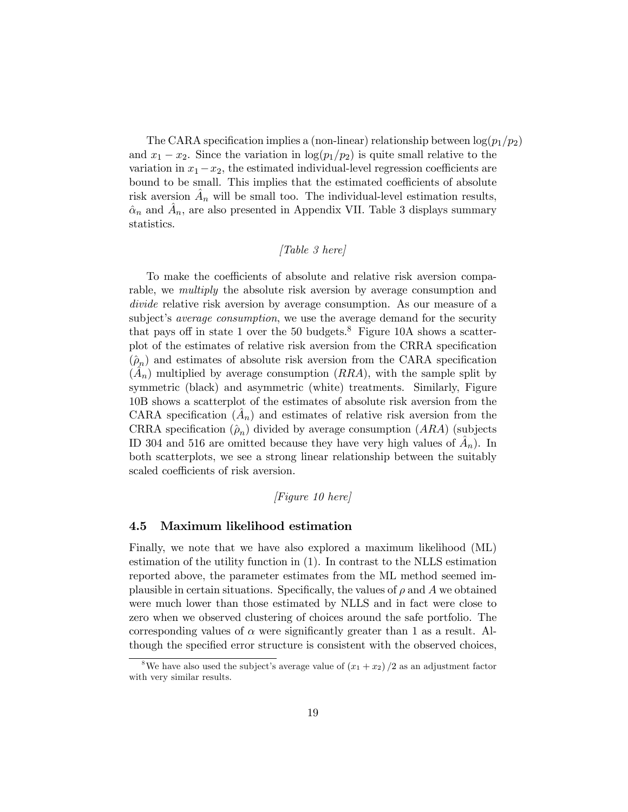The CARA specification implies a (non-linear) relationship between  $log(p_1/p_2)$ and  $x_1 - x_2$ . Since the variation in  $\log(p_1/p_2)$  is quite small relative to the variation in  $x_1 - x_2$ , the estimated individual-level regression coefficients are bound to be small. This implies that the estimated coefficients of absolute risk aversion  $A_n$  will be small too. The individual-level estimation results,  $\hat{\alpha}_n$  and  $A_n$ , are also presented in Appendix VII. Table 3 displays summary statistics.

#### $[Table 3 here]$

To make the coefficients of absolute and relative risk aversion comparable, we multiply the absolute risk aversion by average consumption and divide relative risk aversion by average consumption. As our measure of a subject's *average consumption*, we use the average demand for the security that pays off in state 1 over the 50 budgets.<sup>8</sup> Figure 10A shows a scatterplot of the estimates of relative risk aversion from the CRRA specification  $(\hat{\rho}_n)$  and estimates of absolute risk aversion from the CARA specification  $(A_n)$  multiplied by average consumption  $(RRA)$ , with the sample split by symmetric (black) and asymmetric (white) treatments. Similarly, Figure 10B shows a scatterplot of the estimates of absolute risk aversion from the CARA specification  $(A_n)$  and estimates of relative risk aversion from the CRRA specification  $(\hat{\rho}_n)$  divided by average consumption  $(ARA)$  (subjects ID 304 and 516 are omitted because they have very high values of  $A_n$ ). In both scatterplots, we see a strong linear relationship between the suitably scaled coefficients of risk aversion.

## [Figure 10 here]

## 4.5 Maximum likelihood estimation

Finally, we note that we have also explored a maximum likelihood (ML) estimation of the utility function in (1). In contrast to the NLLS estimation reported above, the parameter estimates from the ML method seemed implausible in certain situations. Specifically, the values of  $\rho$  and A we obtained were much lower than those estimated by NLLS and in fact were close to zero when we observed clustering of choices around the safe portfolio. The corresponding values of  $\alpha$  were significantly greater than 1 as a result. Although the specified error structure is consistent with the observed choices,

<sup>&</sup>lt;sup>8</sup>We have also used the subject's average value of  $(x_1 + x_2)/2$  as an adjustment factor with very similar results.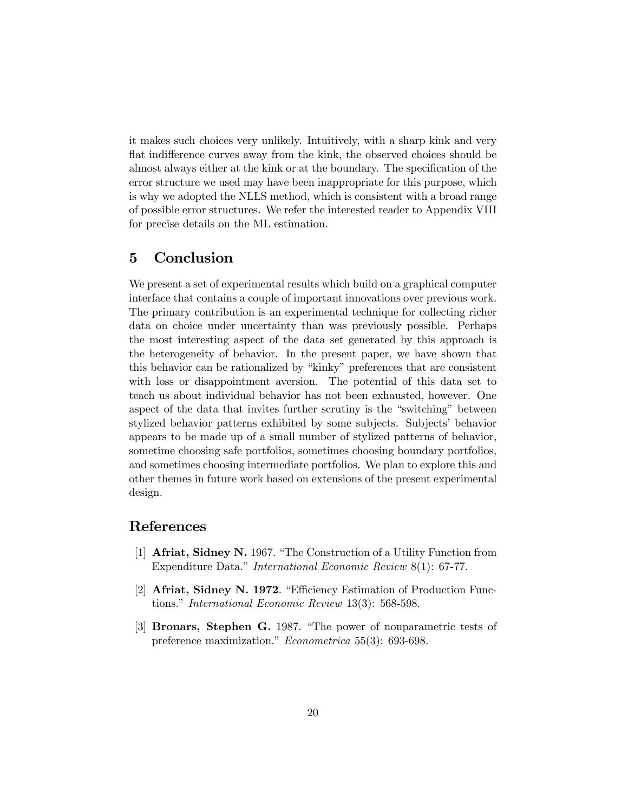it makes such choices very unlikely. Intuitively, with a sharp kink and very flat indifference curves away from the kink, the observed choices should be almost always either at the kink or at the boundary. The specification of the error structure we used may have been inappropriate for this purpose, which is why we adopted the NLLS method, which is consistent with a broad range of possible error structures. We refer the interested reader to Appendix VIII for precise details on the ML estimation.

# 5 Conclusion

We present a set of experimental results which build on a graphical computer interface that contains a couple of important innovations over previous work. The primary contribution is an experimental technique for collecting richer data on choice under uncertainty than was previously possible. Perhaps the most interesting aspect of the data set generated by this approach is the heterogeneity of behavior. In the present paper, we have shown that this behavior can be rationalized by "kinky" preferences that are consistent with loss or disappointment aversion. The potential of this data set to teach us about individual behavior has not been exhausted, however. One aspect of the data that invites further scrutiny is the "switching" between stylized behavior patterns exhibited by some subjects. Subjects' behavior appears to be made up of a small number of stylized patterns of behavior, sometime choosing safe portfolios, sometimes choosing boundary portfolios, and sometimes choosing intermediate portfolios. We plan to explore this and other themes in future work based on extensions of the present experimental design.

# References

- [1] Afriat, Sidney N. 1967. "The Construction of a Utility Function from Expenditure Data." International Economic Review 8(1): 67-77.
- [2] Afriat, Sidney N. 1972. "Efficiency Estimation of Production Functions." International Economic Review 13(3): 568-598.
- [3] Bronars, Stephen G. 1987. "The power of nonparametric tests of preference maximization." Econometrica 55(3): 693-698.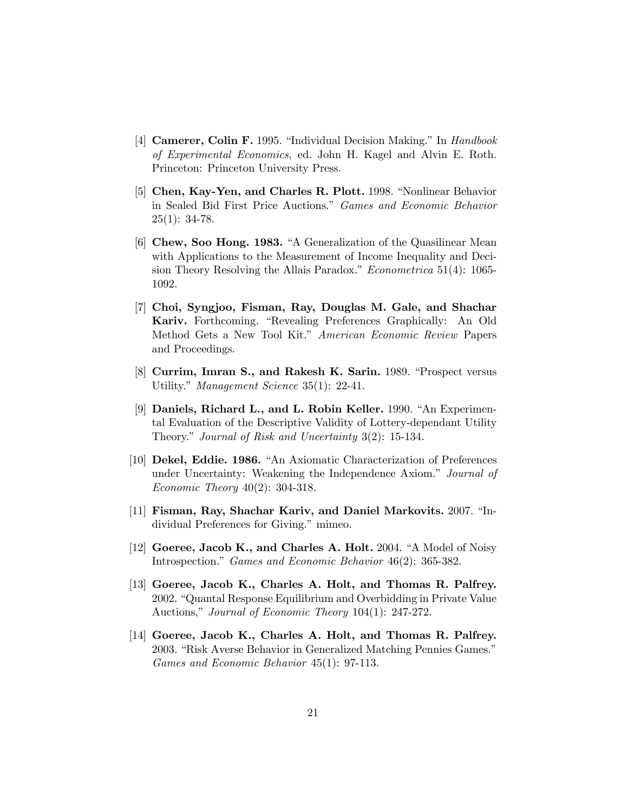- [4] Camerer, Colin F. 1995. "Individual Decision Making." In Handbook of Experimental Economics, ed. John H. Kagel and Alvin E. Roth. Princeton: Princeton University Press.
- [5] Chen, Kay-Yen, and Charles R. Plott. 1998. "Nonlinear Behavior in Sealed Bid First Price Auctions." Games and Economic Behavior  $25(1): 34-78.$
- [6] Chew, Soo Hong. 1983. "A Generalization of the Quasilinear Mean with Applications to the Measurement of Income Inequality and Decision Theory Resolving the Allais Paradox." Econometrica 51(4): 1065- 1092.
- [7] Choi, Syngjoo, Fisman, Ray, Douglas M. Gale, and Shachar Kariv. Forthcoming. "Revealing Preferences Graphically: An Old Method Gets a New Tool Kit." American Economic Review Papers and Proceedings.
- [8] Currim, Imran S., and Rakesh K. Sarin. 1989. "Prospect versus Utility." *Management Science* 35(1): 22-41.
- [9] Daniels, Richard L., and L. Robin Keller. 1990. "An Experimental Evaluation of the Descriptive Validity of Lottery-dependant Utility Theory." Journal of Risk and Uncertainty 3(2): 15-134.
- [10] Dekel, Eddie. 1986. "An Axiomatic Characterization of Preferences under Uncertainty: Weakening the Independence Axiom." Journal of Economic Theory 40(2): 304-318.
- [11] Fisman, Ray, Shachar Kariv, and Daniel Markovits. 2007. "Individual Preferences for Giving." mimeo.
- [12] Goeree, Jacob K., and Charles A. Holt. 2004. "A Model of Noisy Introspection." Games and Economic Behavior 46(2): 365-382.
- [13] Goeree, Jacob K., Charles A. Holt, and Thomas R. Palfrey. 2002. "Quantal Response Equilibrium and Overbidding in Private Value Auctions," Journal of Economic Theory 104(1): 247-272.
- [14] Goeree, Jacob K., Charles A. Holt, and Thomas R. Palfrey. 2003. "Risk Averse Behavior in Generalized Matching Pennies Games." Games and Economic Behavior 45(1): 97-113.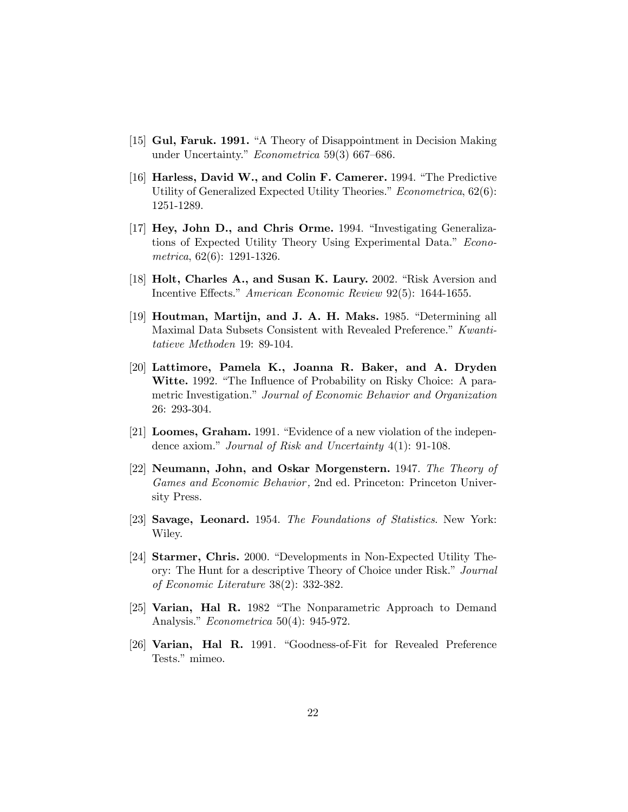- [15] Gul, Faruk. 1991. "A Theory of Disappointment in Decision Making under Uncertainty." Econometrica 59(3) 667—686.
- [16] Harless, David W., and Colin F. Camerer. 1994. "The Predictive Utility of Generalized Expected Utility Theories." Econometrica, 62(6): 1251-1289.
- [17] Hey, John D., and Chris Orme. 1994. "Investigating Generalizations of Expected Utility Theory Using Experimental Data." Econometrica, 62(6): 1291-1326.
- [18] Holt, Charles A., and Susan K. Laury. 2002. "Risk Aversion and Incentive Effects." American Economic Review 92(5): 1644-1655.
- [19] Houtman, Martijn, and J. A. H. Maks. 1985. "Determining all Maximal Data Subsets Consistent with Revealed Preference." Kwantitatieve Methoden 19: 89-104.
- [20] Lattimore, Pamela K., Joanna R. Baker, and A. Dryden Witte. 1992. "The Influence of Probability on Risky Choice: A parametric Investigation." Journal of Economic Behavior and Organization 26: 293-304.
- [21] **Loomes, Graham.** 1991. "Evidence of a new violation of the independence axiom." Journal of Risk and Uncertainty 4(1): 91-108.
- [22] Neumann, John, and Oskar Morgenstern. 1947. The Theory of Games and Economic Behavior, 2nd ed. Princeton: Princeton University Press.
- [23] **Savage, Leonard.** 1954. The Foundations of Statistics. New York: Wiley.
- [24] Starmer, Chris. 2000. "Developments in Non-Expected Utility Theory: The Hunt for a descriptive Theory of Choice under Risk." Journal of Economic Literature 38(2): 332-382.
- [25] Varian, Hal R. 1982 "The Nonparametric Approach to Demand Analysis." Econometrica 50(4): 945-972.
- [26] Varian, Hal R. 1991. "Goodness-of-Fit for Revealed Preference Tests." mimeo.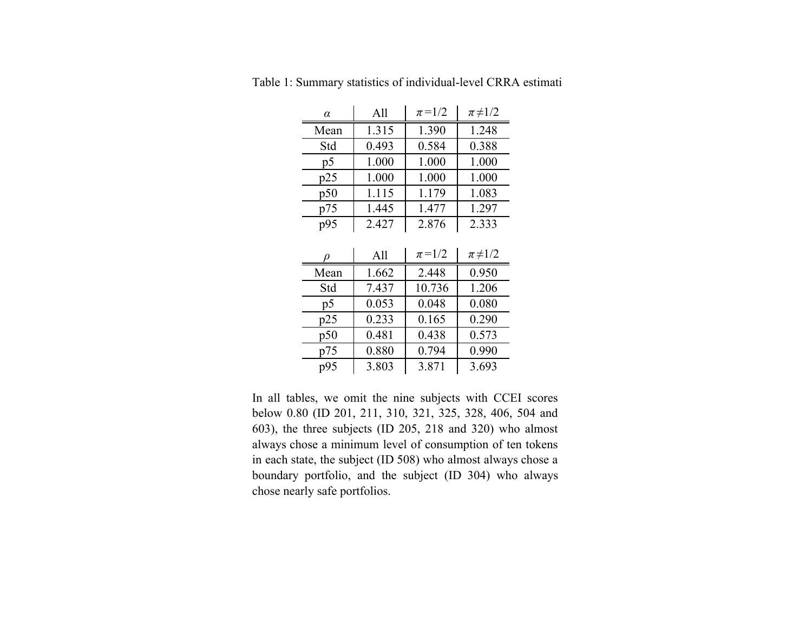| $\alpha$ | All   | $\pi = 1/2$ | $\pi$ $\neq$ 1/2 |
|----------|-------|-------------|------------------|
| Mean     | 1.315 | 1.390       | 1.248            |
| Std      | 0.493 | 0.584       | 0.388            |
| p5       | 1.000 | 1.000       | 1.000            |
| p25      | 1.000 | 1.000       | 1.000            |
| p50      | 1.115 | 1.179       | 1.083            |
| p75      | 1.445 | 1.477       | 1.297            |
| p95      | 2.427 | 2.876       | 2.333            |
|          |       |             |                  |
|          |       |             |                  |
| ρ        | All   | $\pi = 1/2$ | $\pi$ $\neq$ 1/2 |
| Mean     | 1.662 | 2.448       | 0.950            |
| Std      | 7.437 | 10.736      | 1.206            |
| p5       | 0.053 | 0.048       | 0.080            |
| p25      | 0.233 | 0.165       | 0.290            |
| p50      | 0.481 | 0.438       | 0.573            |
| p75      | 0.880 | 0.794       | 0.990            |

Table 1: Summary statistics of individual-level CRRA estimati

In all tables, we omit the nine subjects with CCEI scores below 0.80 (ID 201, 211, 310, 321, 325, 328, 406, 504 and 603), the three subjects (ID 205, 218 and 320) who almost always chose <sup>a</sup> minimum level of consumption of ten tokens in each state, the subject (ID 508) who almost always chose a boundary portfolio, and the subject (ID 304) who always chose nearly safe portfolios.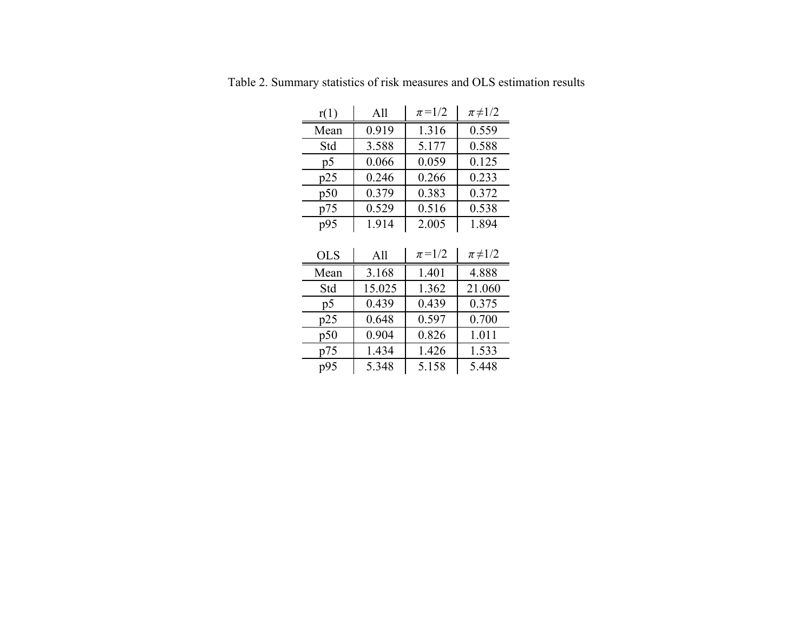| r(1)           | All    | $\pi = 1/2$ | $\pi$ $\neq$ 1/2 |
|----------------|--------|-------------|------------------|
| Mean           | 0.919  | 1.316       | 0.559            |
| Std            | 3.588  | 5.177       | 0.588            |
| p <sub>5</sub> | 0.066  | 0.059       | 0.125            |
| p25            | 0.246  | 0.266       | 0.233            |
| p50            | 0.379  | 0.383       | 0.372            |
| p75            | 0.529  | 0.516       | 0.538            |
| p95            | 1.914  | 2.005       | 1.894            |
|                |        |             |                  |
|                |        |             |                  |
| <b>OLS</b>     | All    | $\pi = 1/2$ | $\pi$ $\neq$ 1/2 |
| Mean           | 3.168  | 1.401       | 4.888            |
| Std            | 15.025 | 1.362       | 21.060           |
| p <sub>5</sub> | 0.439  | 0.439       | 0.375            |
| p25            | 0.648  | 0.597       | 0.700            |
| p50            | 0.904  | 0.826       | 1.011            |
| p75            | 1.434  | 1.426       | 1.533            |

Table 2. Summary statistics of risk measures and OLS estimation results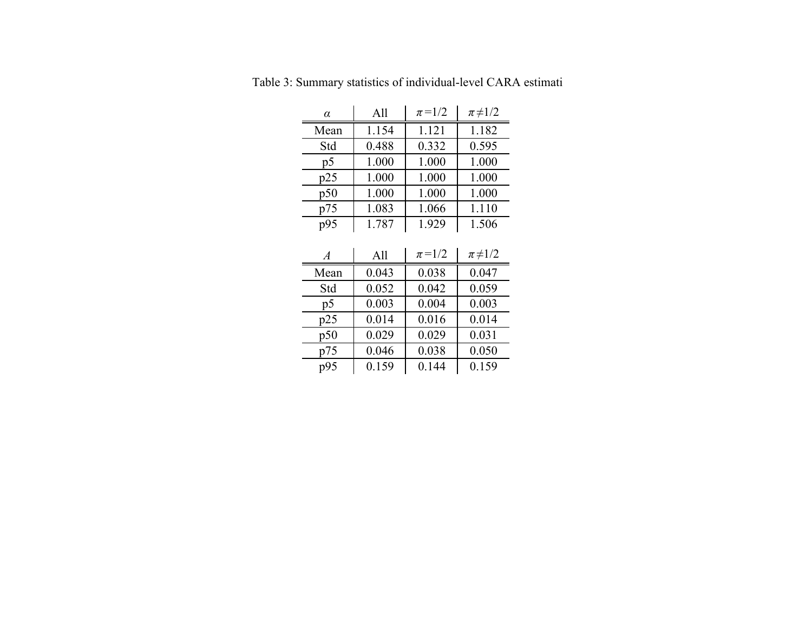| $\alpha$       | All   | $\pi = 1/2$ | $\pi$ $\neq$ 1/2 |
|----------------|-------|-------------|------------------|
| Mean           | 1.154 | 1.121       | 1.182            |
| Std            | 0.488 | 0.332       | 0.595            |
| p <sub>5</sub> | 1.000 | 1.000       | 1.000            |
| p25            | 1.000 | 1.000       | 1.000            |
| p50            | 1.000 | 1.000       | 1.000            |
| p75            | 1.083 | 1.066       | 1.110            |
| p95            | 1.787 | 1.929       | 1.506            |
|                |       |             |                  |
|                |       |             |                  |
| $\overline{A}$ | All   | $\pi = 1/2$ | $\pi$ $\neq$ 1/2 |
| Mean           | 0.043 | 0.038       | 0.047            |
| Std            | 0.052 | 0.042       | 0.059            |
| p <sub>5</sub> | 0.003 | 0.004       | 0.003            |
| p25            | 0.014 | 0.016       | 0.014            |
| p50            | 0.029 | 0.029       | 0.031            |
| p75            | 0.046 | 0.038       | 0.050            |

Table 3: Summary statistics of individual-level CARA estimati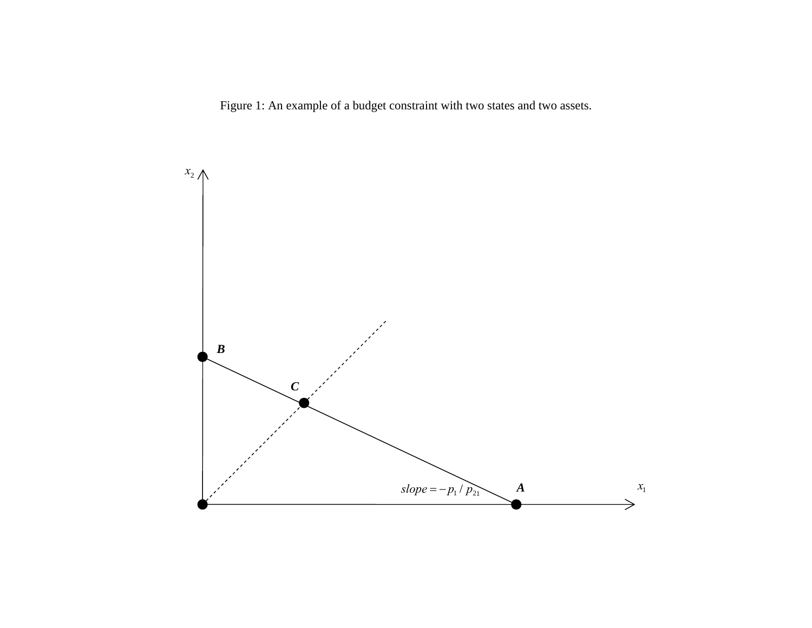Figure 1: An example of a budget constraint with two states and two assets.

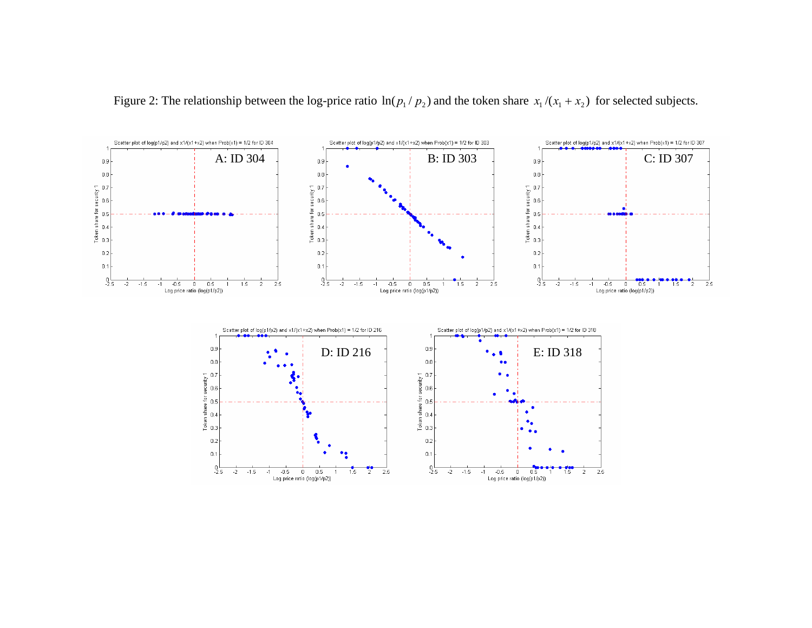

Figure 2: The relationship between the log-price ratio  $\ln(p_1 / p_2)$  and the token share  $x_1 / (x_1 + x_2)$  for selected subjects.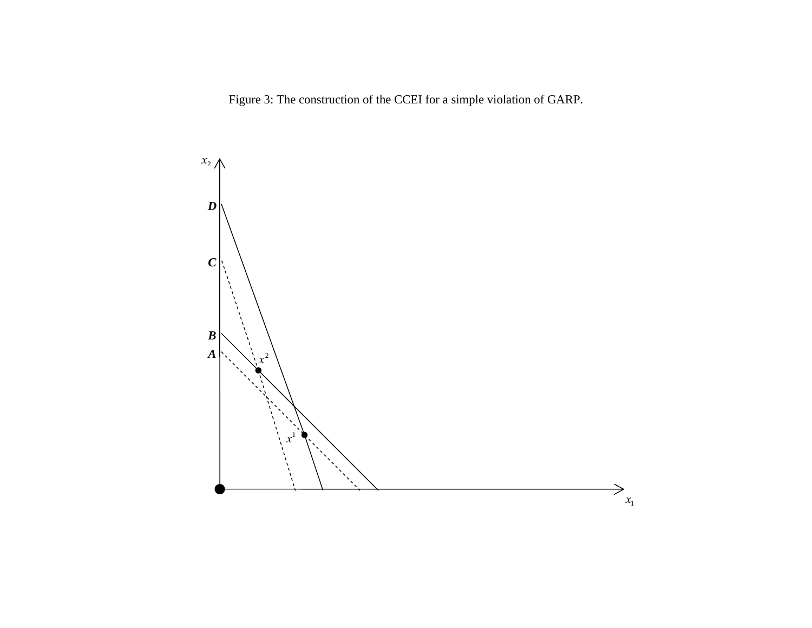Figure 3: The construction of the CCEI for a simple violation of GARP.

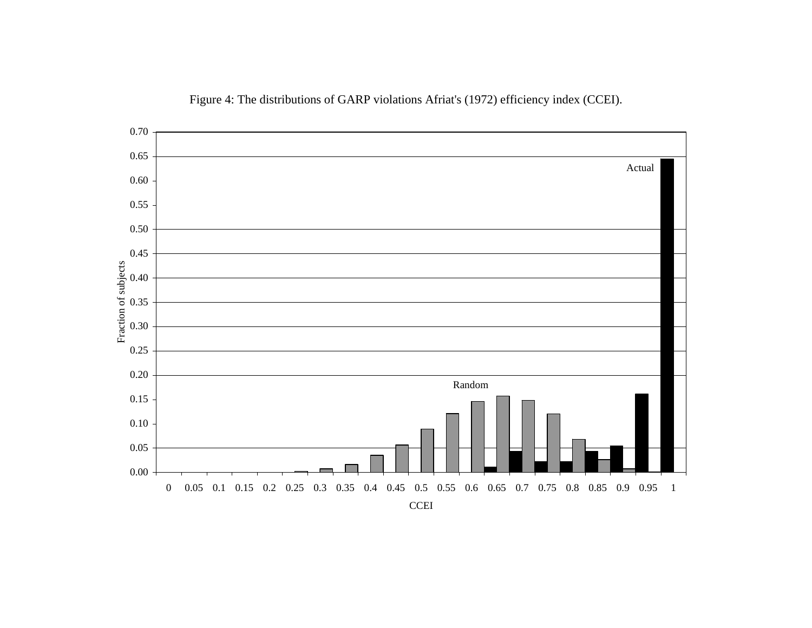

Figure 4: The distributions of GARP violations Afriat's (1972) efficiency index (CCEI).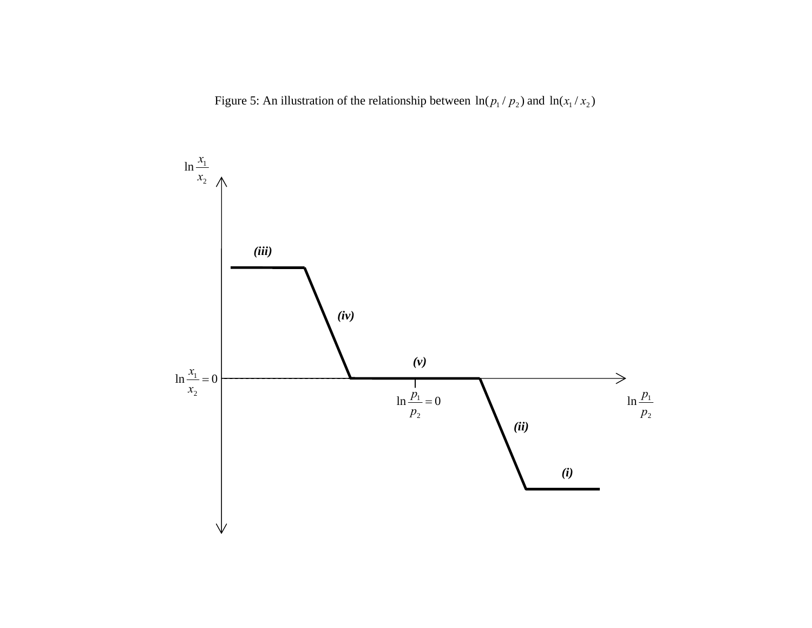Figure 5: An illustration of the relationship between  $\ln(p_1 / p_2)$  and  $\ln(x_1 / x_2)$ 

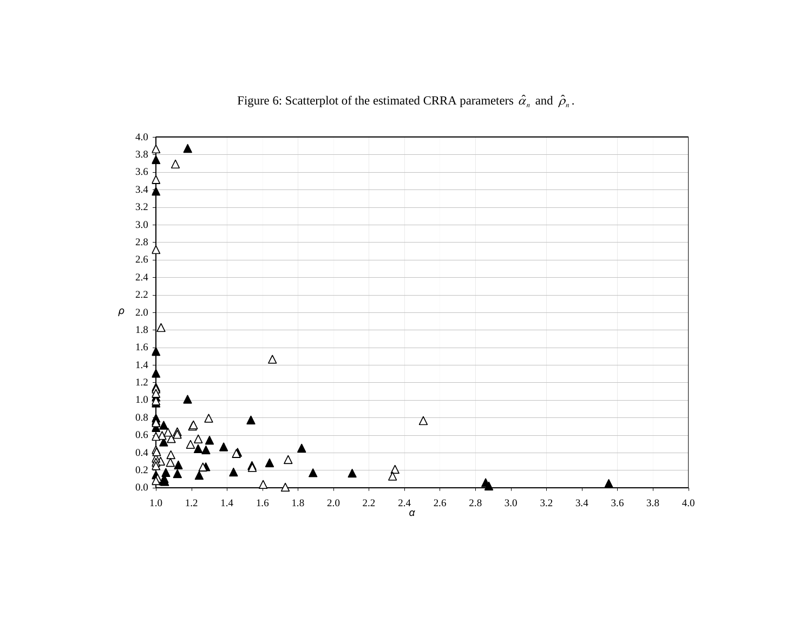Figure 6: Scatterplot of the estimated CRRA parameters  $\hat{\alpha}_n$  and  $\hat{\rho}_n$ .

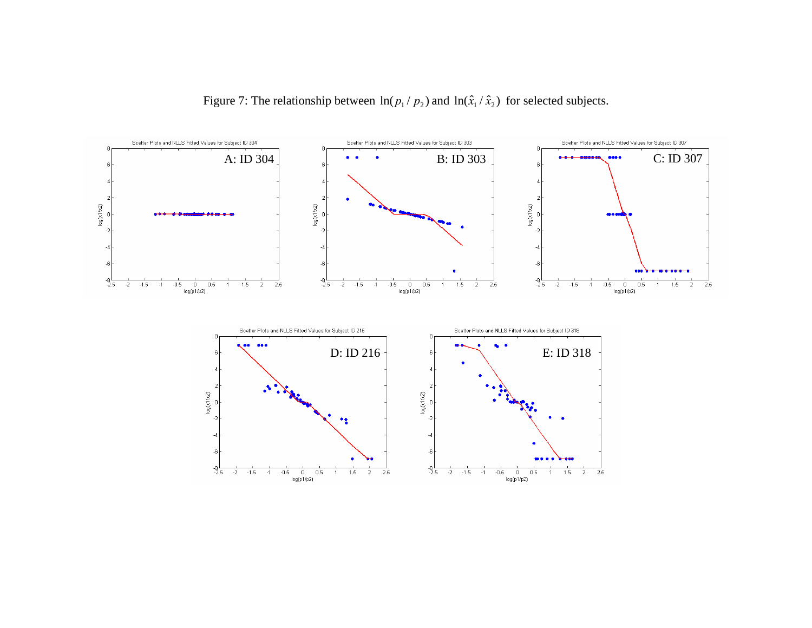Figure 7: The relationship between  $\ln(p_1 / p_2)$  and  $\ln(\hat{x}_1 / \hat{x}_2)$  for selected subjects.

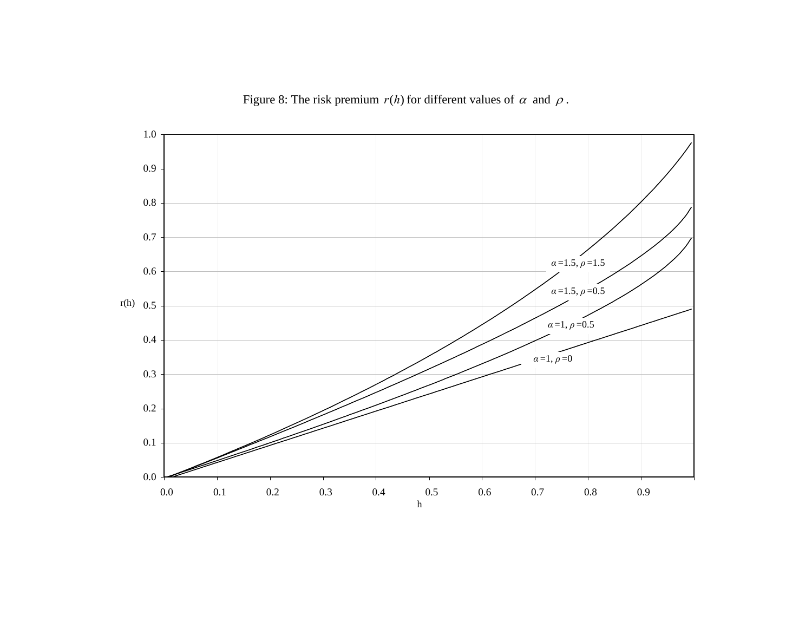Figure 8: The risk premium  $r(h)$  for different values of  $\alpha$  and  $\rho$ .

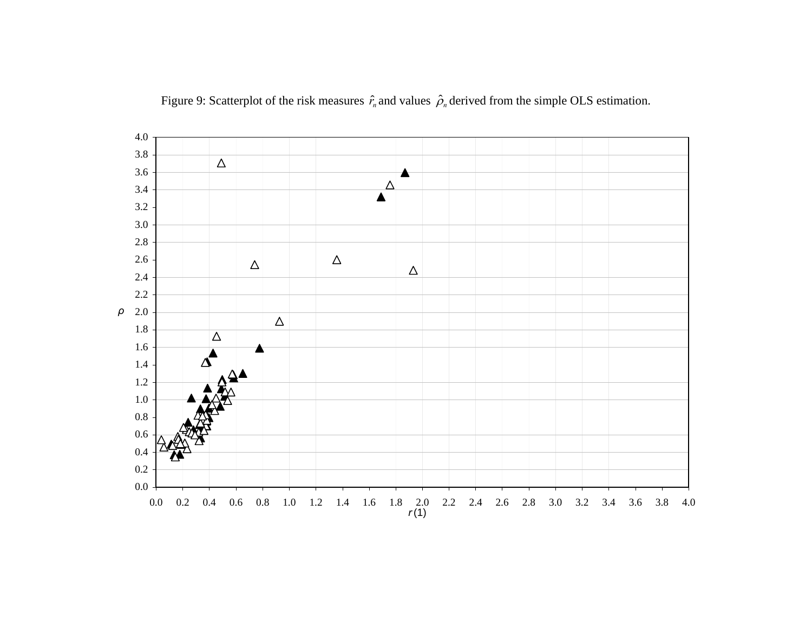

Figure 9: Scatterplot of the risk measures  $\hat{r}_n$  and values  $\hat{\rho}_n$  derived from the simple OLS estimation.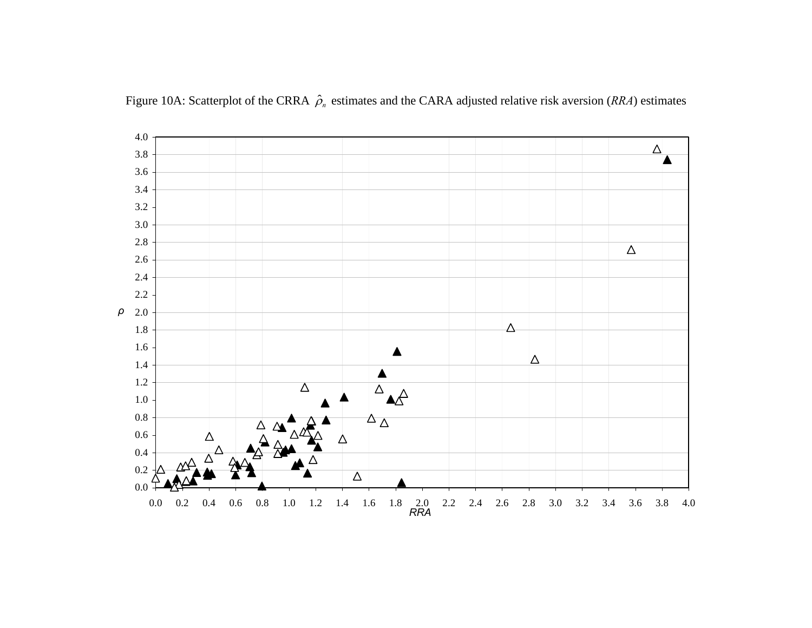

Figure 10A: Scatterplot of the CRRA  $\hat{\rho}_n$  estimates and the CARA adjusted relative risk aversion (*RRA*) estimates